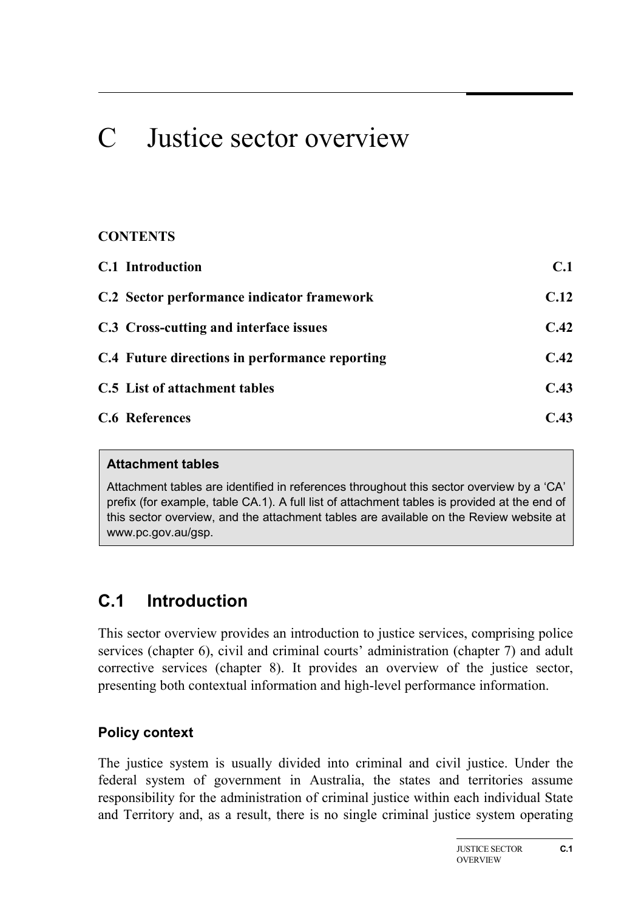# C Justice sector overview

# **CONTENTS**

| <b>C.1</b> Introduction                        | C.1  |
|------------------------------------------------|------|
| C.2 Sector performance indicator framework     | C.12 |
| C.3 Cross-cutting and interface issues         | C.42 |
| C.4 Future directions in performance reporting | C.42 |
| <b>C.5</b> List of attachment tables           | C.43 |
| <b>C.6 References</b>                          | C.43 |

#### **Attachment tables**

Attachment tables are identified in references throughout this sector overview by a 'CA' prefix (for example, table CA.1). A full list of attachment tables is provided at the end of this sector overview, and the attachment tables are available on the Review website at [www.pc.gov.au/gsp.](http://www.pc.gov.au/gsp)

# <span id="page-0-0"></span>**C.1 Introduction**

This sector overview provides an introduction to justice services, comprising police services (chapter 6), civil and criminal courts' administration (chapter 7) and adult corrective services (chapter 8). It provides an overview of the justice sector, presenting both contextual information and high-level performance information.

# **Policy context**

The justice system is usually divided into criminal and civil justice. Under the federal system of government in Australia, the states and territories assume responsibility for the administration of criminal justice within each individual State and Territory and, as a result, there is no single criminal justice system operating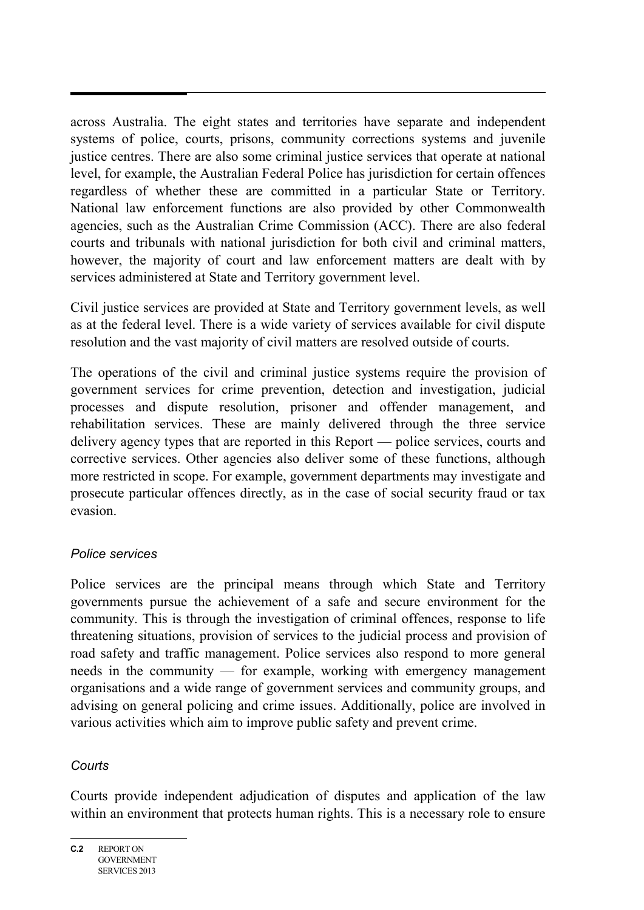across Australia. The eight states and territories have separate and independent systems of police, courts, prisons, community corrections systems and juvenile justice centres. There are also some criminal justice services that operate at national level, for example, the Australian Federal Police has jurisdiction for certain offences regardless of whether these are committed in a particular State or Territory. National law enforcement functions are also provided by other Commonwealth agencies, such as the Australian Crime Commission (ACC). There are also federal courts and tribunals with national jurisdiction for both civil and criminal matters, however, the majority of court and law enforcement matters are dealt with by services administered at State and Territory government level.

Civil justice services are provided at State and Territory government levels, as well as at the federal level. There is a wide variety of services available for civil dispute resolution and the vast majority of civil matters are resolved outside of courts.

The operations of the civil and criminal justice systems require the provision of government services for crime prevention, detection and investigation, judicial processes and dispute resolution, prisoner and offender management, and rehabilitation services. These are mainly delivered through the three service delivery agency types that are reported in this Report — police services, courts and corrective services. Other agencies also deliver some of these functions, although more restricted in scope. For example, government departments may investigate and prosecute particular offences directly, as in the case of social security fraud or tax evasion.

#### *Police services*

Police services are the principal means through which State and Territory governments pursue the achievement of a safe and secure environment for the community. This is through the investigation of criminal offences, response to life threatening situations, provision of services to the judicial process and provision of road safety and traffic management. Police services also respond to more general needs in the community — for example, working with emergency management organisations and a wide range of government services and community groups, and advising on general policing and crime issues. Additionally, police are involved in various activities which aim to improve public safety and prevent crime.

# *Courts*

Courts provide independent adjudication of disputes and application of the law within an environment that protects human rights. This is a necessary role to ensure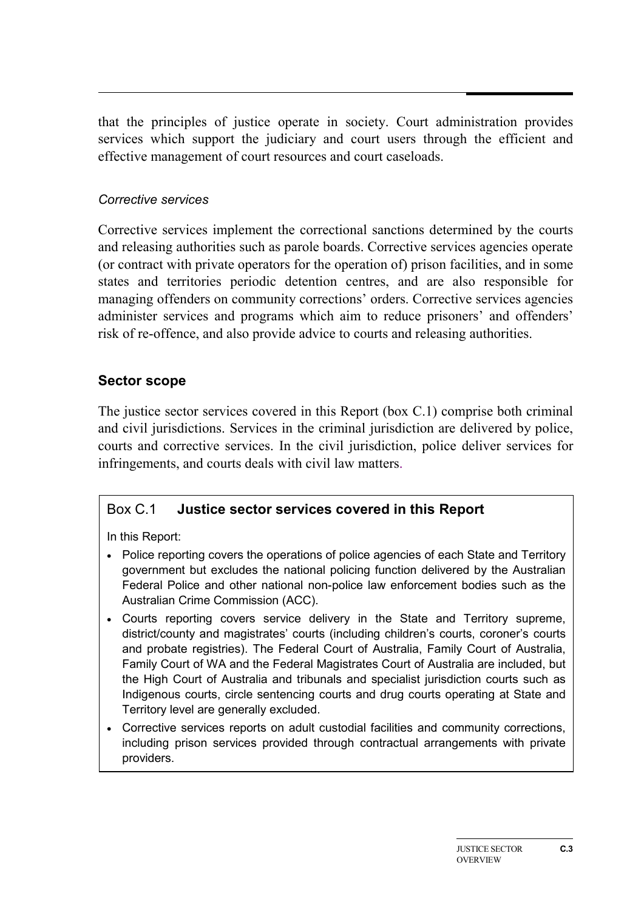that the principles of justice operate in society. Court administration provides services which support the judiciary and court users through the efficient and effective management of court resources and court caseloads.

### *Corrective services*

Corrective services implement the correctional sanctions determined by the courts and releasing authorities such as parole boards. Corrective services agencies operate (or contract with private operators for the operation of) prison facilities, and in some states and territories periodic detention centres, and are also responsible for managing offenders on community corrections' orders. Corrective services agencies administer services and programs which aim to reduce prisoners' and offenders' risk of re-offence, and also provide advice to courts and releasing authorities.

# **Sector scope**

The justice sector services covered in this Report (box C.1) comprise both criminal and civil jurisdictions. Services in the criminal jurisdiction are delivered by police, courts and corrective services. In the civil jurisdiction, police deliver services for infringements, and courts deals with civil law matters.

# Box C.1 **Justice sector services covered in this Report**

In this Report:

- Police reporting covers the operations of police agencies of each State and Territory government but excludes the national policing function delivered by the Australian Federal Police and other national non-police law enforcement bodies such as the Australian Crime Commission (ACC).
- Courts reporting covers service delivery in the State and Territory supreme, district/county and magistrates' courts (including children's courts, coroner's courts and probate registries). The Federal Court of Australia, Family Court of Australia, Family Court of WA and the Federal Magistrates Court of Australia are included, but the High Court of Australia and tribunals and specialist jurisdiction courts such as Indigenous courts, circle sentencing courts and drug courts operating at State and Territory level are generally excluded.
- Corrective services reports on adult custodial facilities and community corrections, including prison services provided through contractual arrangements with private providers.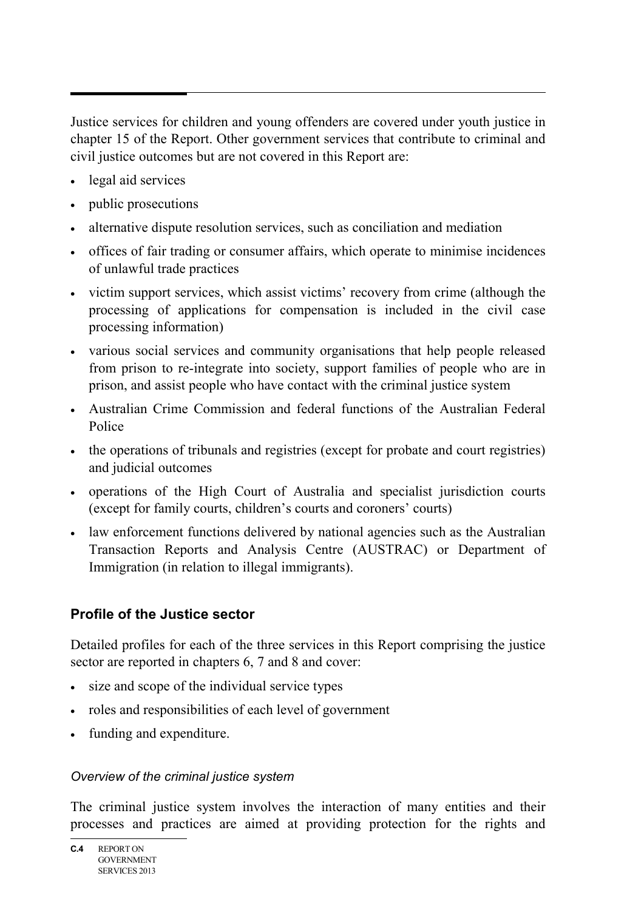Justice services for children and young offenders are covered under youth justice in chapter 15 of the Report. Other government services that contribute to criminal and civil justice outcomes but are not covered in this Report are:

- legal aid services
- public prosecutions
- alternative dispute resolution services, such as conciliation and mediation
- offices of fair trading or consumer affairs, which operate to minimise incidences of unlawful trade practices
- victim support services, which assist victims' recovery from crime (although the processing of applications for compensation is included in the civil case processing information)
- various social services and community organisations that help people released from prison to re-integrate into society, support families of people who are in prison, and assist people who have contact with the criminal justice system
- Australian Crime Commission and federal functions of the Australian Federal Police
- the operations of tribunals and registries (except for probate and court registries) and judicial outcomes
- operations of the High Court of Australia and specialist jurisdiction courts (except for family courts, children's courts and coroners' courts)
- law enforcement functions delivered by national agencies such as the Australian Transaction Reports and Analysis Centre (AUSTRAC) or Department of Immigration (in relation to illegal immigrants).

# **Profile of the Justice sector**

Detailed profiles for each of the three services in this Report comprising the justice sector are reported in chapters 6, 7 and 8 and cover:

- size and scope of the individual service types
- roles and responsibilities of each level of government
- funding and expenditure.

# *Overview of the criminal justice system*

The criminal justice system involves the interaction of many entities and their processes and practices are aimed at providing protection for the rights and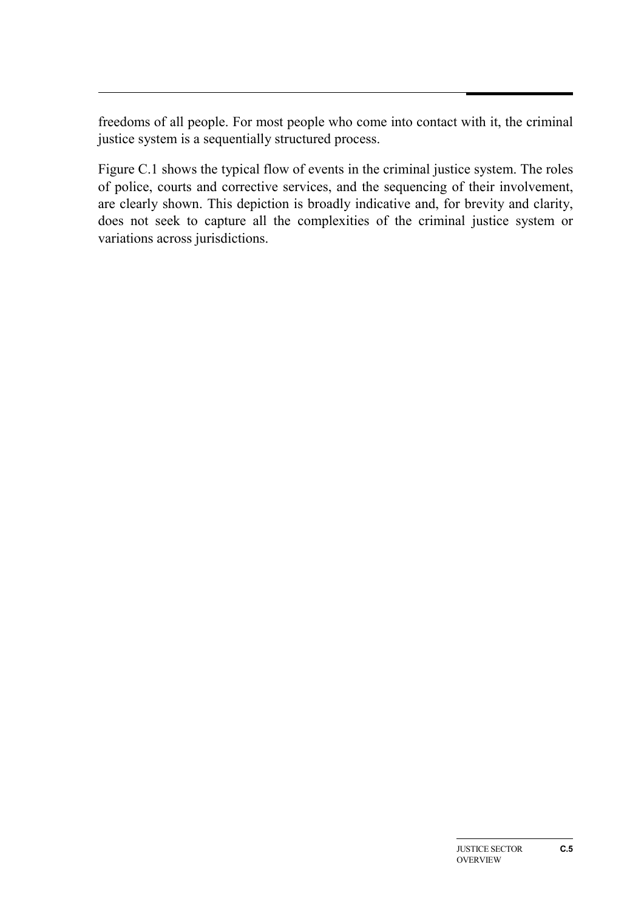freedoms of all people. For most people who come into contact with it, the criminal justice system is a sequentially structured process.

Figure C.1 shows the typical flow of events in the criminal justice system. The roles of police, courts and corrective services, and the sequencing of their involvement, are clearly shown. This depiction is broadly indicative and, for brevity and clarity, does not seek to capture all the complexities of the criminal justice system or variations across jurisdictions.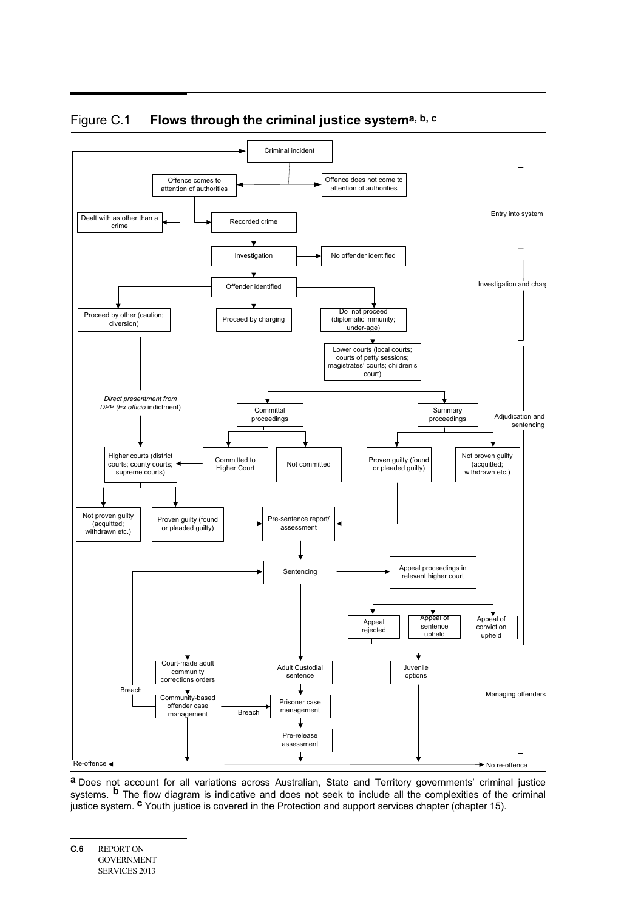

Figure C.1 **Flows through the criminal justice systema, b, c**

**a** Does not account for all variations across Australian, State and Territory governments' criminal justice systems. **b** The flow diagram is indicative and does not seek to include all the complexities of the criminal justice system. **c** Youth justice is covered in the Protection and support services chapter (chapter 15).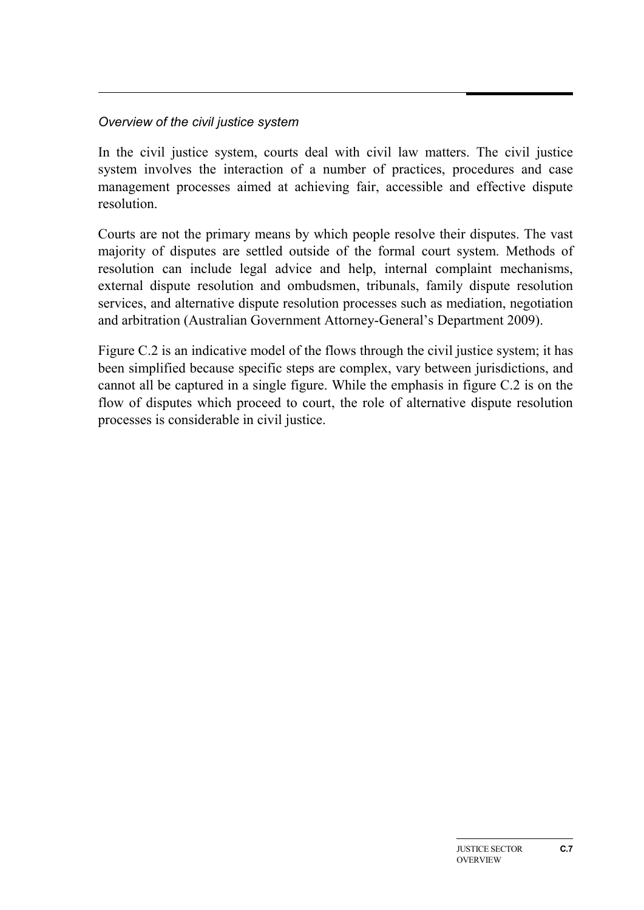# *Overview of the civil justice system*

In the civil justice system, courts deal with civil law matters. The civil justice system involves the interaction of a number of practices, procedures and case management processes aimed at achieving fair, accessible and effective dispute resolution.

Courts are not the primary means by which people resolve their disputes. The vast majority of disputes are settled outside of the formal court system. Methods of resolution can include legal advice and help, internal complaint mechanisms, external dispute resolution and ombudsmen, tribunals, family dispute resolution services, and alternative dispute resolution processes such as mediation, negotiation and arbitration (Australian Government Attorney-General's Department 2009).

Figure C.2 is an indicative model of the flows through the civil justice system; it has been simplified because specific steps are complex, vary between jurisdictions, and cannot all be captured in a single figure. While the emphasis in figure C.2 is on the flow of disputes which proceed to court, the role of alternative dispute resolution processes is considerable in civil justice.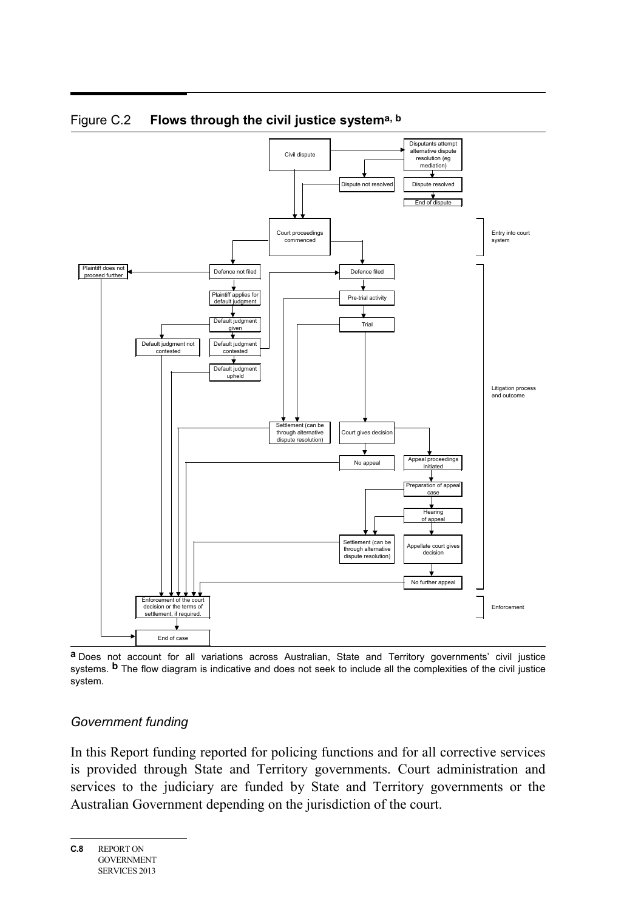



**a** Does not account for all variations across Australian, State and Territory governments' civil justice systems. **b** The flow diagram is indicative and does not seek to include all the complexities of the civil justice system.

#### *Government funding*

In this Report funding reported for policing functions and for all corrective services is provided through State and Territory governments. Court administration and services to the judiciary are funded by State and Territory governments or the Australian Government depending on the jurisdiction of the court.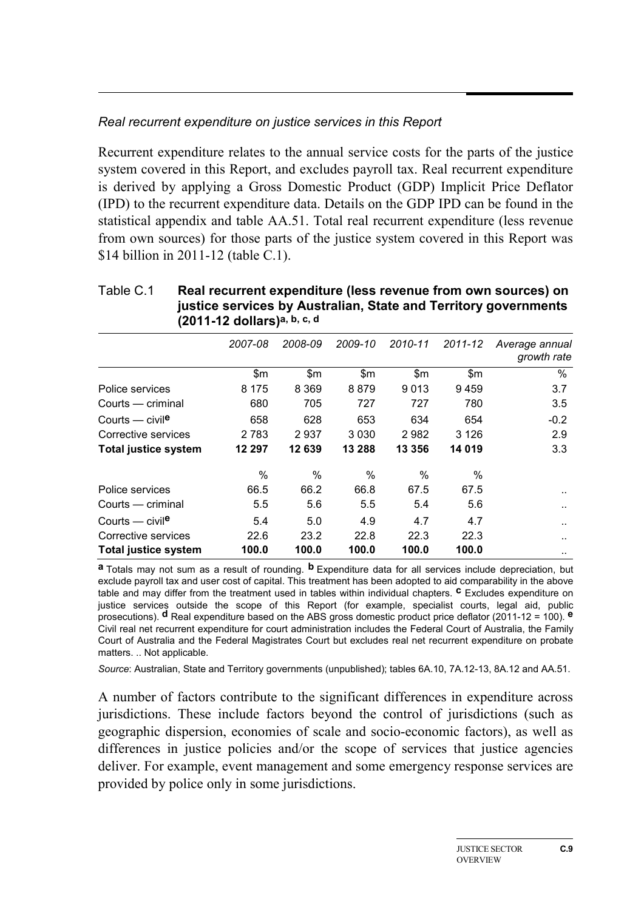### *Real recurrent expenditure on justice services in this Report*

Recurrent expenditure relates to the annual service costs for the parts of the justice system covered in this Report, and excludes payroll tax. Real recurrent expenditure is derived by applying a Gross Domestic Product (GDP) Implicit Price Deflator (IPD) to the recurrent expenditure data. Details on the GDP IPD can be found in the statistical appendix and table AA.51. Total real recurrent expenditure (less revenue from own sources) for those parts of the justice system covered in this Report was \$14 billion in 2011-12 (table C.1).

|                             | $(2011-12$ dollars) <sup>a, b, c, d</sup> |                |         |         |                |                               |
|-----------------------------|-------------------------------------------|----------------|---------|---------|----------------|-------------------------------|
|                             | 2007-08                                   | 2008-09        | 2009-10 | 2010-11 | 2011-12        | Average annual<br>growth rate |
|                             | \$m\$                                     | $\mathsf{S}$ m | \$m     | \$m     | $\mathsf{S}$ m | %                             |
| Police services             | 8 1 7 5                                   | 8 3 6 9        | 8879    | 9013    | 9459           | 3.7                           |
| Courts — criminal           | 680                                       | 705            | 727     | 727     | 780            | 3.5                           |
| Courts — civil <sup>e</sup> | 658                                       | 628            | 653     | 634     | 654            | $-0.2$                        |
| Corrective services         | 2783                                      | 2937           | 3 0 3 0 | 2982    | 3 1 2 6        | 2.9                           |
| <b>Total justice system</b> | 12 297                                    | 12 639         | 13 288  | 13 356  | 14 019         | 3.3                           |
|                             | $\%$                                      | $\%$           | %       | $\%$    | %              |                               |
| Police services             | 66.5                                      | 66.2           | 66.8    | 67.5    | 67.5           |                               |
| Courts — criminal           | 5.5                                       | 5.6            | 5.5     | 5.4     | 5.6            |                               |
| Courts — civil <sup>e</sup> | 5.4                                       | 5.0            | 4.9     | 4.7     | 4.7            | $\ddotsc$                     |
| Corrective services         | 22.6                                      | 23.2           | 22.8    | 22.3    | 22.3           |                               |
| <b>Total justice system</b> | 100.0                                     | 100.0          | 100.0   | 100.0   | 100.0          |                               |

# Table C.1 **Real recurrent expenditure (less revenue from own sources) on justice services by Australian, State and Territory governments**

**a** Totals may not sum as a result of rounding. **b** Expenditure data for all services include depreciation, but exclude payroll tax and user cost of capital. This treatment has been adopted to aid comparability in the above table and may differ from the treatment used in tables within individual chapters. **c** Excludes expenditure on justice services outside the scope of this Report (for example, specialist courts, legal aid, public prosecutions). **d** Real expenditure based on the ABS gross domestic product price deflator (2011-12 = 100). **e** Civil real net recurrent expenditure for court administration includes the Federal Court of Australia, the Family Court of Australia and the Federal Magistrates Court but excludes real net recurrent expenditure on probate matters. .. Not applicable.

*Source*: Australian, State and Territory governments (unpublished); tables 6A.10, 7A.12-13, 8A.12 and AA.51.

A number of factors contribute to the significant differences in expenditure across jurisdictions. These include factors beyond the control of jurisdictions (such as geographic dispersion, economies of scale and socio-economic factors), as well as differences in justice policies and/or the scope of services that justice agencies deliver. For example, event management and some emergency response services are provided by police only in some jurisdictions.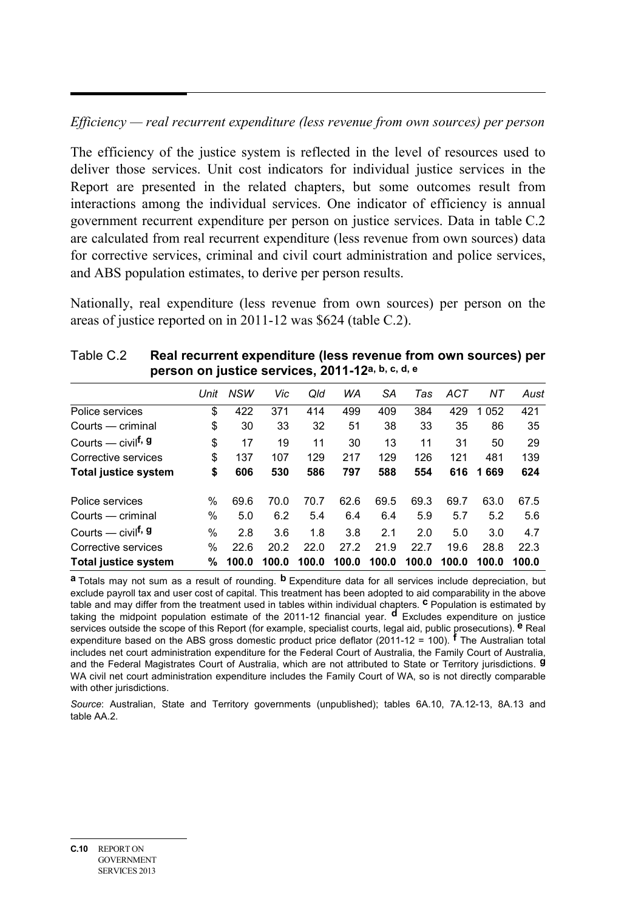*Efficiency — real recurrent expenditure (less revenue from own sources) per person*

The efficiency of the justice system is reflected in the level of resources used to deliver those services. Unit cost indicators for individual justice services in the Report are presented in the related chapters, but some outcomes result from interactions among the individual services. One indicator of efficiency is annual government recurrent expenditure per person on justice services. Data in table C.2 are calculated from real recurrent expenditure (less revenue from own sources) data for corrective services, criminal and civil court administration and police services, and ABS population estimates, to derive per person results.

Nationally, real expenditure (less revenue from own sources) per person on the areas of justice reported on in 2011-12 was \$624 (table C.2).

|                                | Unit | <b>NSW</b> | Vic   | Qld   | WA    | SA    | Tas   | ACT   | NΤ    | Aust  |
|--------------------------------|------|------------|-------|-------|-------|-------|-------|-------|-------|-------|
| Police services                | \$   | 422        | 371   | 414   | 499   | 409   | 384   | 429   | 1052  | 421   |
| Courts — criminal              | \$   | 30         | 33    | 32    | 51    | 38    | 33    | 35    | 86    | 35    |
| Courts — civil <sup>f, g</sup> | \$   | 17         | 19    | 11    | 30    | 13    | 11    | 31    | 50    | 29    |
| Corrective services            | \$   | 137        | 107   | 129   | 217   | 129   | 126   | 121   | 481   | 139   |
| <b>Total justice system</b>    | \$   | 606        | 530   | 586   | 797   | 588   | 554   | 616   | 1669  | 624   |
| Police services                | %    | 69.6       | 70.0  | 70.7  | 62.6  | 69.5  | 69.3  | 69.7  | 63.0  | 67.5  |
| Courts — criminal              | %    | 5.0        | 6.2   | 5.4   | 6.4   | 6.4   | 5.9   | 5.7   | 5.2   | 5.6   |
| Courts — civil <sup>t, g</sup> | $\%$ | 2.8        | 3.6   | 1.8   | 3.8   | 2.1   | 2.0   | 5.0   | 3.0   | 4.7   |
| Corrective services            | %    | 22.6       | 20.2  | 22.0  | 27.2  | 21.9  | 22.7  | 19.6  | 28.8  | 22.3  |
| <b>Total justice system</b>    | %    | 100.0      | 100.0 | 100.0 | 100.0 | 100.0 | 100.0 | 100.0 | 100.0 | 100.0 |

#### Table C.2 **Real recurrent expenditure (less revenue from own sources) per person on justice services, 2011-12a, b, c, d, e**

**a** Totals may not sum as a result of rounding. **b** Expenditure data for all services include depreciation, but exclude payroll tax and user cost of capital. This treatment has been adopted to aid comparability in the above table and may differ from the treatment used in tables within individual chapters. **c** Population is estimated by taking the midpoint population estimate of the 2011-12 financial year. **d** Excludes expenditure on justice services outside the scope of this Report (for example, specialist courts, legal aid, public prosecutions). **e** Real expenditure based on the ABS gross domestic product price deflator (2011-12 = 100). **f** The Australian total includes net court administration expenditure for the Federal Court of Australia, the Family Court of Australia, and the Federal Magistrates Court of Australia, which are not attributed to State or Territory jurisdictions. **g** WA civil net court administration expenditure includes the Family Court of WA, so is not directly comparable with other jurisdictions.

*Source*: Australian, State and Territory governments (unpublished); tables 6A.10, 7A.12-13, 8A.13 and table AA.2.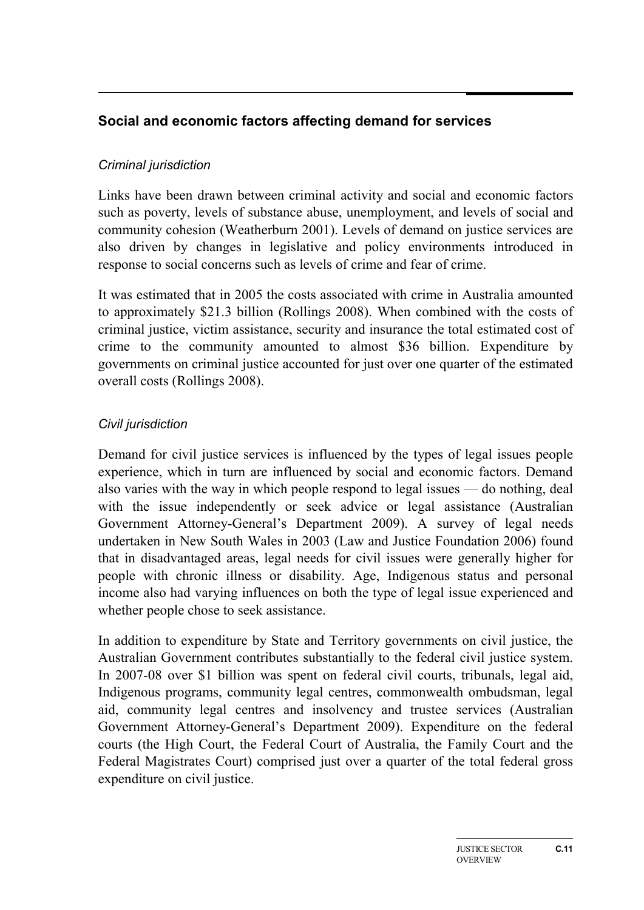# **Social and economic factors affecting demand for services**

# *Criminal jurisdiction*

Links have been drawn between criminal activity and social and economic factors such as poverty, levels of substance abuse, unemployment, and levels of social and community cohesion (Weatherburn 2001). Levels of demand on justice services are also driven by changes in legislative and policy environments introduced in response to social concerns such as levels of crime and fear of crime.

It was estimated that in 2005 the costs associated with crime in Australia amounted to approximately \$21.3 billion (Rollings 2008). When combined with the costs of criminal justice, victim assistance, security and insurance the total estimated cost of crime to the community amounted to almost \$36 billion. Expenditure by governments on criminal justice accounted for just over one quarter of the estimated overall costs (Rollings 2008).

# *Civil jurisdiction*

Demand for civil justice services is influenced by the types of legal issues people experience, which in turn are influenced by social and economic factors. Demand also varies with the way in which people respond to legal issues — do nothing, deal with the issue independently or seek advice or legal assistance (Australian Government Attorney-General's Department 2009). A survey of legal needs undertaken in New South Wales in 2003 (Law and Justice Foundation 2006) found that in disadvantaged areas, legal needs for civil issues were generally higher for people with chronic illness or disability. Age, Indigenous status and personal income also had varying influences on both the type of legal issue experienced and whether people chose to seek assistance.

In addition to expenditure by State and Territory governments on civil justice, the Australian Government contributes substantially to the federal civil justice system. In 2007-08 over \$1 billion was spent on federal civil courts, tribunals, legal aid, Indigenous programs, community legal centres, commonwealth ombudsman, legal aid, community legal centres and insolvency and trustee services (Australian Government Attorney-General's Department 2009). Expenditure on the federal courts (the High Court, the Federal Court of Australia, the Family Court and the Federal Magistrates Court) comprised just over a quarter of the total federal gross expenditure on civil justice.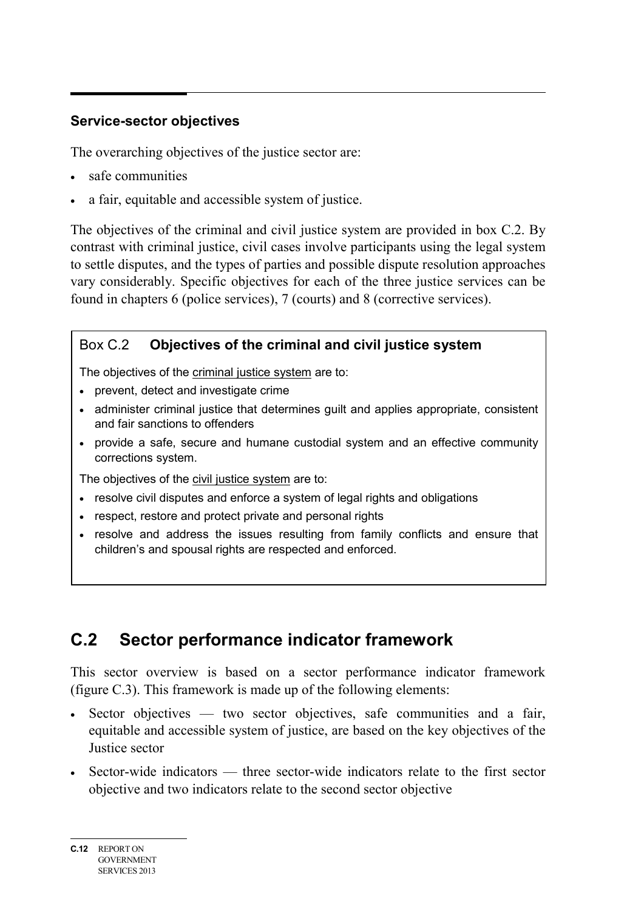# **Service-sector objectives**

The overarching objectives of the justice sector are:

- safe communities
- a fair, equitable and accessible system of justice.

The objectives of the criminal and civil justice system are provided in box C.2. By contrast with criminal justice, civil cases involve participants using the legal system to settle disputes, and the types of parties and possible dispute resolution approaches vary considerably. Specific objectives for each of the three justice services can be found in chapters 6 (police services), 7 (courts) and 8 (corrective services).

# Box C.2 **Objectives of the criminal and civil justice system**

The objectives of the criminal justice system are to:

- prevent, detect and investigate crime
- administer criminal justice that determines guilt and applies appropriate, consistent and fair sanctions to offenders
- provide a safe, secure and humane custodial system and an effective community corrections system.

The objectives of the civil justice system are to:

- resolve civil disputes and enforce a system of legal rights and obligations
- respect, restore and protect private and personal rights
- resolve and address the issues resulting from family conflicts and ensure that children's and spousal rights are respected and enforced.

# <span id="page-11-0"></span>**C.2 Sector performance indicator framework**

This sector overview is based on a sector performance indicator framework (figure C.3). This framework is made up of the following elements:

- Sector objectives two sector objectives, safe communities and a fair, equitable and accessible system of justice, are based on the key objectives of the Justice sector
- Sector-wide indicators three sector-wide indicators relate to the first sector objective and two indicators relate to the second sector objective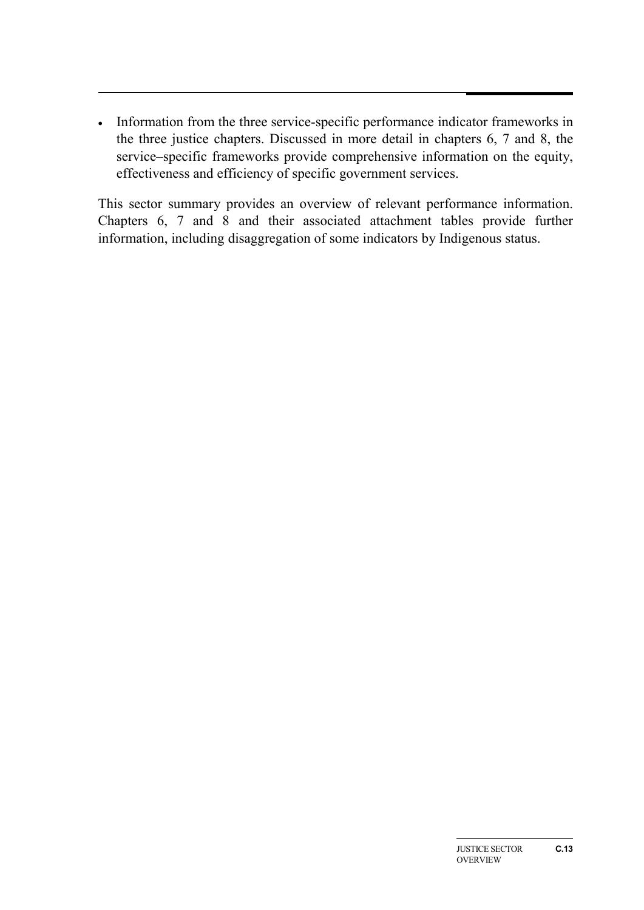• Information from the three service-specific performance indicator frameworks in the three justice chapters. Discussed in more detail in chapters 6, 7 and 8, the service–specific frameworks provide comprehensive information on the equity, effectiveness and efficiency of specific government services.

This sector summary provides an overview of relevant performance information. Chapters 6, 7 and 8 and their associated attachment tables provide further information, including disaggregation of some indicators by Indigenous status.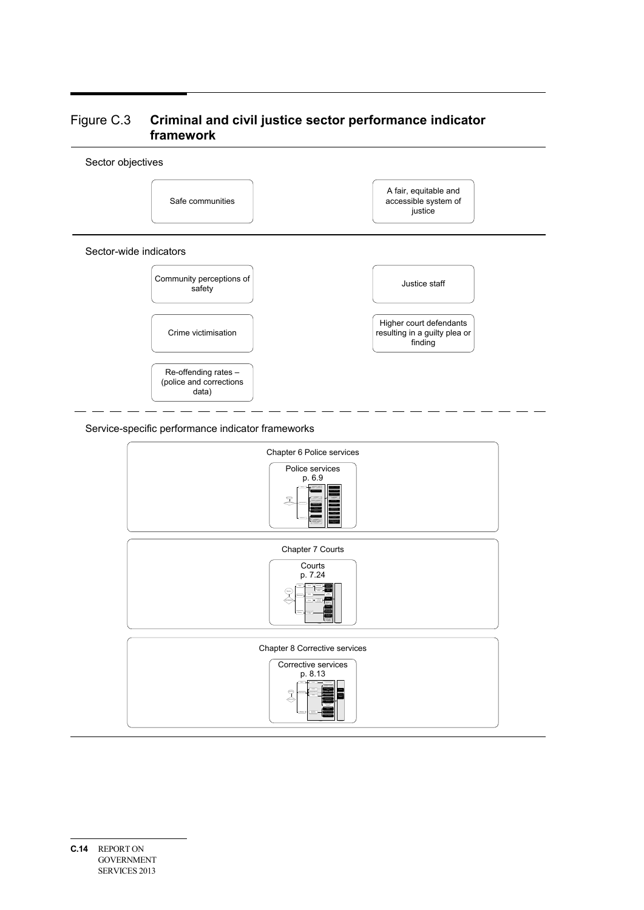#### Figure C.3 **Criminal and civil justice sector performance indicator framework**



p. 8.13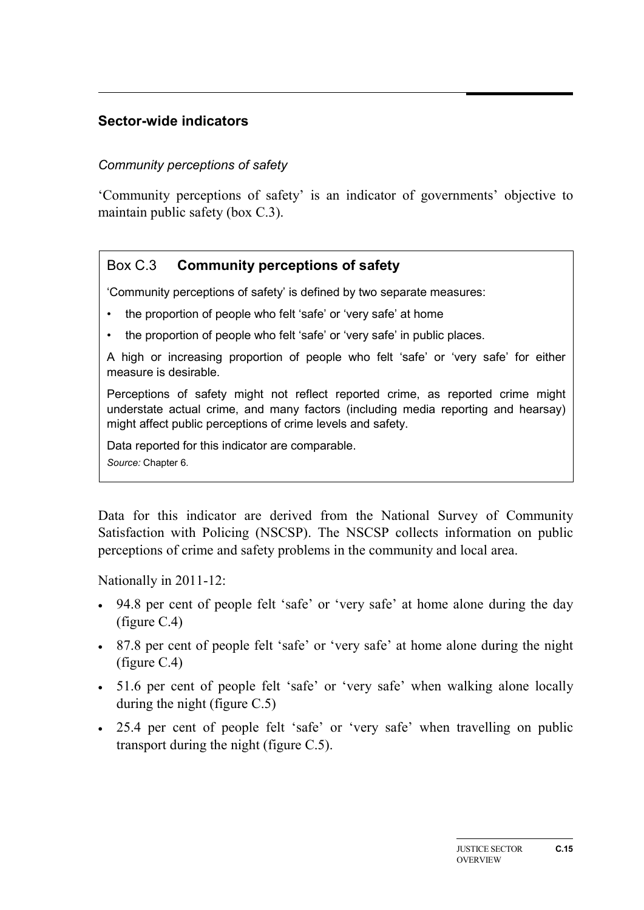# **Sector-wide indicators**

### *Community perceptions of safety*

'Community perceptions of safety' is an indicator of governments' objective to maintain public safety (box C.3).

# Box C.3 **Community perceptions of safety**

'Community perceptions of safety' is defined by two separate measures:

- the proportion of people who felt 'safe' or 'very safe' at home
- the proportion of people who felt 'safe' or 'very safe' in public places.

A high or increasing proportion of people who felt 'safe' or 'very safe' for either measure is desirable.

Perceptions of safety might not reflect reported crime, as reported crime might understate actual crime, and many factors (including media reporting and hearsay) might affect public perceptions of crime levels and safety.

Data reported for this indicator are comparable.

*Source:* Chapter 6*.*

Data for this indicator are derived from the National Survey of Community Satisfaction with Policing (NSCSP). The NSCSP collects information on public perceptions of crime and safety problems in the community and local area.

Nationally in 2011-12:

- 94.8 per cent of people felt 'safe' or 'very safe' at home alone during the day (figure C.4)
- 87.8 per cent of people felt 'safe' or 'very safe' at home alone during the night (figure C.4)
- 51.6 per cent of people felt 'safe' or 'very safe' when walking alone locally during the night (figure C.5)
- 25.4 per cent of people felt 'safe' or 'very safe' when travelling on public transport during the night (figure C.5).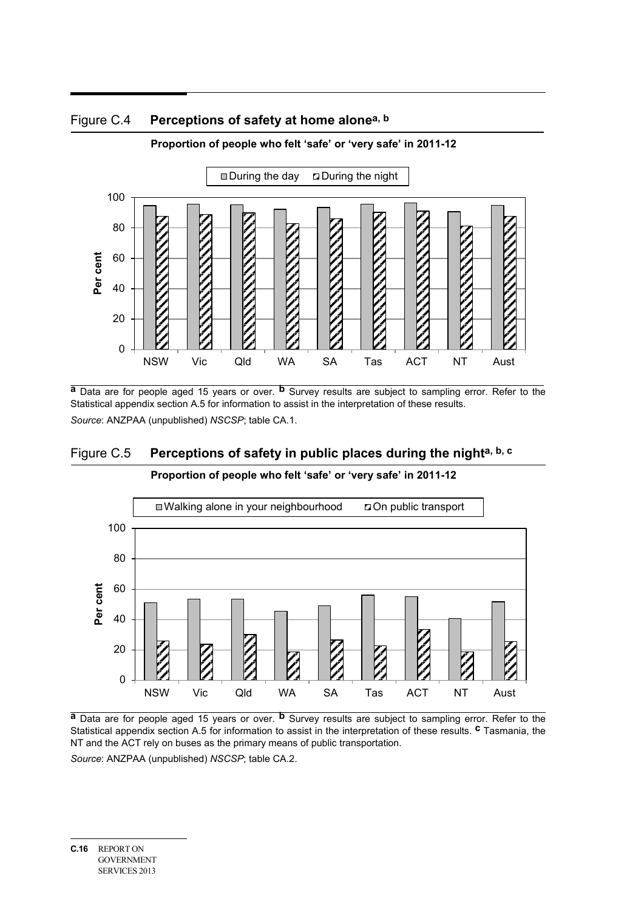#### Figure C.4 **Perceptions of safety at home alonea, b**



**Proportion of people who felt 'safe' or 'very safe' in 2011-12**

**a** Data are for people aged 15 years or over. **b** Survey results are subject to sampling error. Refer to the Statistical appendix section A.5 for information to assist in the interpretation of these results. *Source*: ANZPAA (unpublished) *NSCSP*; table CA.1.

#### Figure C.5 **Perceptions of safety in public places during the nighta, b, c**

#### **Proportion of people who felt 'safe' or 'very safe' in 2011-12**



**a** Data are for people aged 15 years or over. **b** Survey results are subject to sampling error. Refer to the Statistical appendix section A.5 for information to assist in the interpretation of these results. **c** Tasmania, the NT and the ACT rely on buses as the primary means of public transportation.

*Source*: ANZPAA (unpublished) *NSCSP*; table CA.2.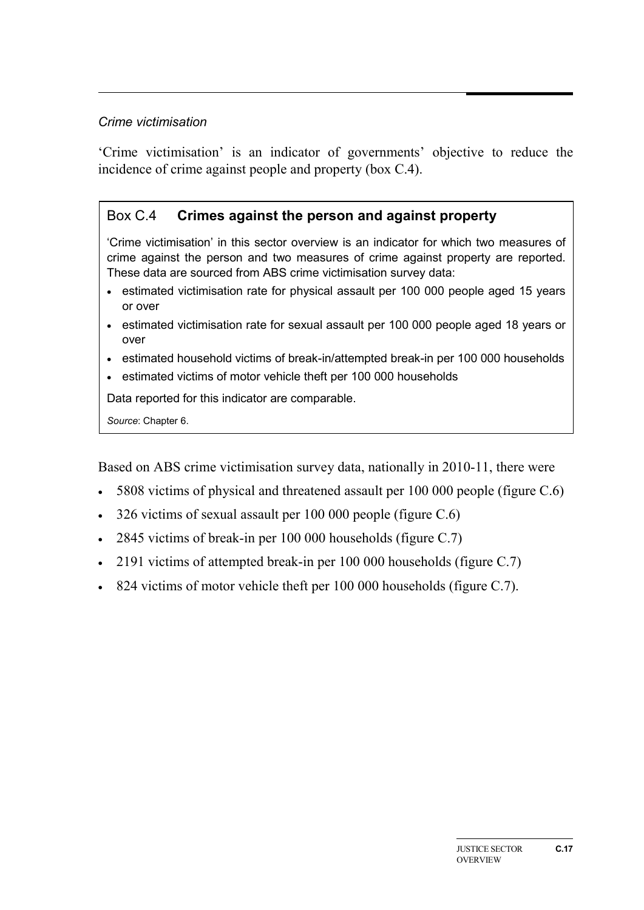### *Crime victimisation*

'Crime victimisation' is an indicator of governments' objective to reduce the incidence of crime against people and property (box C.4).

# Box C.4 **Crimes against the person and against property**

'Crime victimisation' in this sector overview is an indicator for which two measures of crime against the person and two measures of crime against property are reported. These data are sourced from ABS crime victimisation survey data:

- estimated victimisation rate for physical assault per 100 000 people aged 15 years or over
- estimated victimisation rate for sexual assault per 100 000 people aged 18 years or over
- estimated household victims of break-in/attempted break-in per 100 000 households
- estimated victims of motor vehicle theft per 100 000 households

Data reported for this indicator are comparable.

*Source*: Chapter 6.

Based on ABS crime victimisation survey data, nationally in 2010-11, there were

- 5808 victims of physical and threatened assault per 100 000 people (figure C.6)
- 326 victims of sexual assault per 100 000 people (figure C.6)
- 2845 victims of break-in per 100 000 households (figure C.7)
- 2191 victims of attempted break-in per 100 000 households (figure C.7)
- 824 victims of motor vehicle theft per 100 000 households (figure C.7).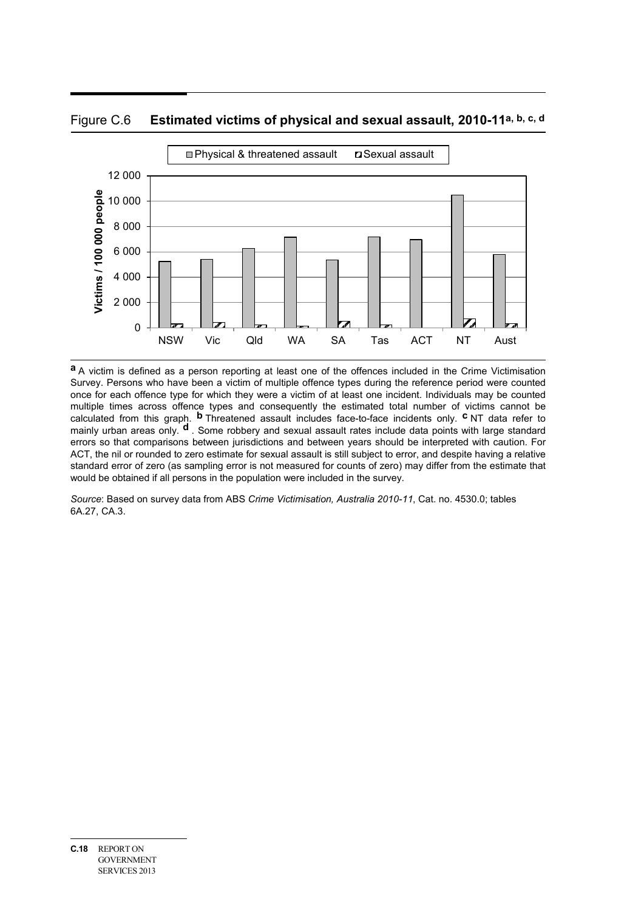

Figure C.6 **Estimated victims of physical and sexual assault, 2010-11a, b, c, d**

**a** A victim is defined as a person reporting at least one of the offences included in the Crime Victimisation Survey. Persons who have been a victim of multiple offence types during the reference period were counted once for each offence type for which they were a victim of at least one incident. Individuals may be counted multiple times across offence types and consequently the estimated total number of victims cannot be calculated from this graph. **b** Threatened assault includes face-to-face incidents only. **c** NT data refer to mainly urban areas only. **d** . Some robbery and sexual assault rates include data points with large standard errors so that comparisons between jurisdictions and between years should be interpreted with caution. For ACT, the nil or rounded to zero estimate for sexual assault is still subject to error, and despite having a relative standard error of zero (as sampling error is not measured for counts of zero) may differ from the estimate that would be obtained if all persons in the population were included in the survey.

*Source*: Based on survey data from ABS *Crime Victimisation, Australia 2010-11*, Cat. no. 4530.0; tables 6A.27, CA.3.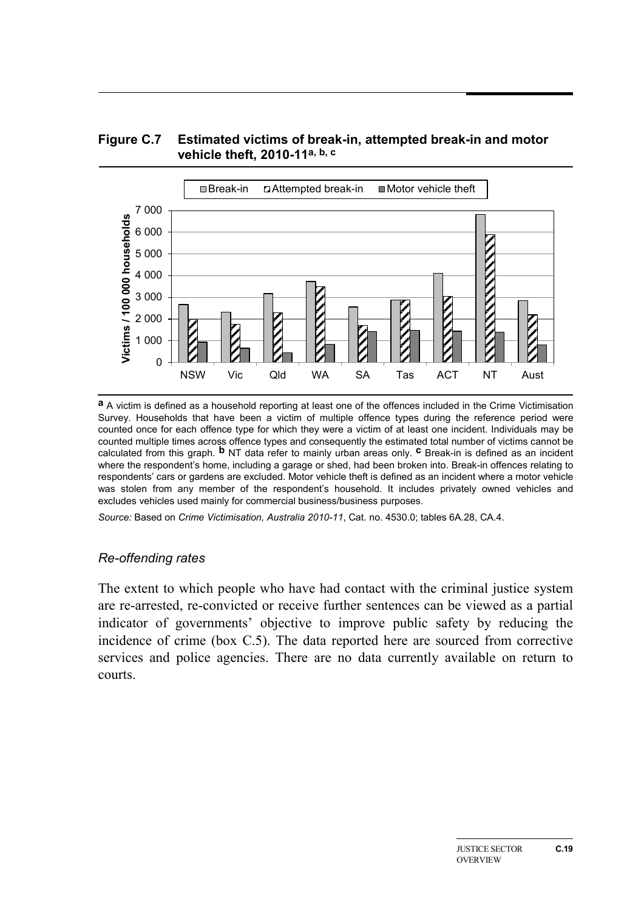**Figure C.7 Estimated victims of break-in, attempted break-in and motor vehicle theft, 2010-11a, b, c**



**a** A victim is defined as a household reporting at least one of the offences included in the Crime Victimisation Survey. Households that have been a victim of multiple offence types during the reference period were counted once for each offence type for which they were a victim of at least one incident. Individuals may be counted multiple times across offence types and consequently the estimated total number of victims cannot be calculated from this graph. **b** NT data refer to mainly urban areas only. **c** Break-in is defined as an incident where the respondent's home, including a garage or shed, had been broken into. Break-in offences relating to respondents' cars or gardens are excluded. Motor vehicle theft is defined as an incident where a motor vehicle was stolen from any member of the respondent's household. It includes privately owned vehicles and excludes vehicles used mainly for commercial business/business purposes.

*Source:* Based on *Crime Victimisation, Australia 2010-11*, Cat. no. 4530.0; tables 6A.28, CA.4.

#### *Re-offending rates*

The extent to which people who have had contact with the criminal justice system are re-arrested, re-convicted or receive further sentences can be viewed as a partial indicator of governments' objective to improve public safety by reducing the incidence of crime (box C.5). The data reported here are sourced from corrective services and police agencies. There are no data currently available on return to courts.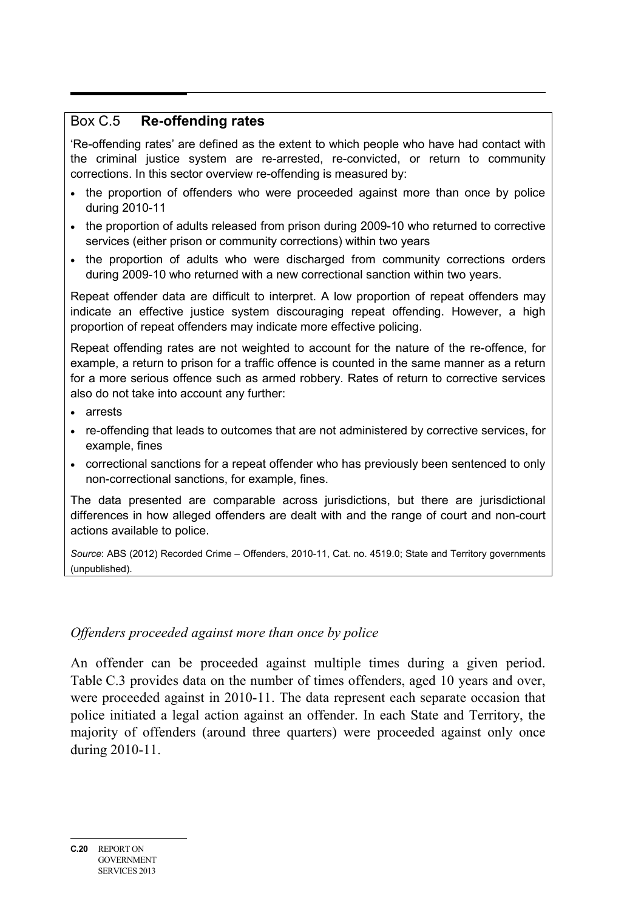# Box C.5 **Re-offending rates**

'Re-offending rates' are defined as the extent to which people who have had contact with the criminal justice system are re-arrested, re-convicted, or return to community corrections. In this sector overview re-offending is measured by:

- the proportion of offenders who were proceeded against more than once by police during 2010-11
- the proportion of adults released from prison during 2009-10 who returned to corrective services (either prison or community corrections) within two years
- the proportion of adults who were discharged from community corrections orders during 2009-10 who returned with a new correctional sanction within two years.

Repeat offender data are difficult to interpret. A low proportion of repeat offenders may indicate an effective justice system discouraging repeat offending. However, a high proportion of repeat offenders may indicate more effective policing.

Repeat offending rates are not weighted to account for the nature of the re-offence, for example, a return to prison for a traffic offence is counted in the same manner as a return for a more serious offence such as armed robbery. Rates of return to corrective services also do not take into account any further:

- arrests
- re-offending that leads to outcomes that are not administered by corrective services, for example, fines
- correctional sanctions for a repeat offender who has previously been sentenced to only non-correctional sanctions, for example, fines.

The data presented are comparable across jurisdictions, but there are jurisdictional differences in how alleged offenders are dealt with and the range of court and non-court actions available to police.

*Source*: ABS (2012) Recorded Crime – Offenders, 2010-11, Cat. no. 4519.0; State and Territory governments (unpublished).

# *Offenders proceeded against more than once by police*

An offender can be proceeded against multiple times during a given period. Table C.3 provides data on the number of times offenders, aged 10 years and over, were proceeded against in 2010-11. The data represent each separate occasion that police initiated a legal action against an offender. In each State and Territory, the majority of offenders (around three quarters) were proceeded against only once during 2010-11.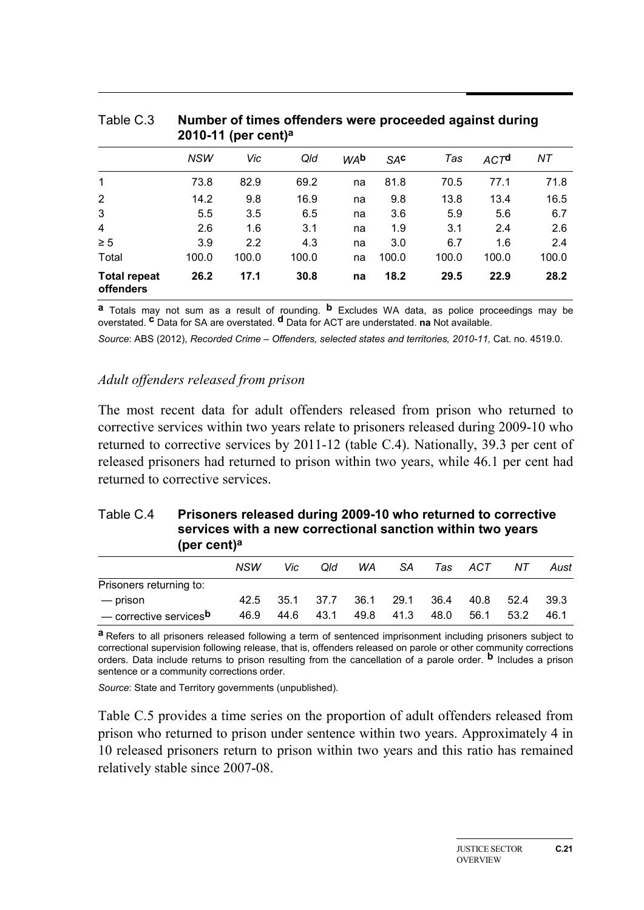|                                  |       | 2010-11 (per cent) <sup>a</sup> |       |                 |       |       |                  |       |
|----------------------------------|-------|---------------------------------|-------|-----------------|-------|-------|------------------|-------|
|                                  | NSW   | Vic                             | Qld   | WA <sub>b</sub> | SAC   | Tas   | ACT <sup>d</sup> | ΝT    |
| $\mathbf{1}$                     | 73.8  | 82.9                            | 69.2  | na              | 81.8  | 70.5  | 77.1             | 71.8  |
| 2                                | 14.2  | 9.8                             | 16.9  | na              | 9.8   | 13.8  | 13.4             | 16.5  |
| 3                                | 5.5   | 3.5                             | 6.5   | na              | 3.6   | 5.9   | 5.6              | 6.7   |
| $\overline{4}$                   | 2.6   | 1.6                             | 3.1   | na              | 1.9   | 3.1   | 2.4              | 2.6   |
| $\geq 5$                         | 3.9   | 2.2                             | 4.3   | na              | 3.0   | 6.7   | 1.6              | 2.4   |
| Total                            | 100.0 | 100.0                           | 100.0 | na              | 100.0 | 100.0 | 100.0            | 100.0 |
| <b>Total repeat</b><br>offenders | 26.2  | 17.1                            | 30.8  | na              | 18.2  | 29.5  | 22.9             | 28.2  |

Table C.3 **Number of times offenders were proceeded against during 2010-11 (per cent)a**

**a** Totals may not sum as a result of rounding. **b** Excludes WA data, as police proceedings may be overstated. **c** Data for SA are overstated. **d** Data for ACT are understated. **na** Not available.

*Source*: ABS (2012), *Recorded Crime – Offenders, selected states and territories, 2010-11,* Cat. no. 4519.0.

#### *Adult offenders released from prison*

The most recent data for adult offenders released from prison who returned to corrective services within two years relate to prisoners released during 2009-10 who returned to corrective services by 2011-12 (table C.4). Nationally, 39.3 per cent of released prisoners had returned to prison within two years, while 46.1 per cent had returned to corrective services.

#### Table C.4 **Prisoners released during 2009-10 who returned to corrective services with a new correctional sanction within two years (per cent)a**

|                                    | NSW  | Vic | Qld.           | WA | SA.       |      | Tas ACT                            | NT.  | Aust  |
|------------------------------------|------|-----|----------------|----|-----------|------|------------------------------------|------|-------|
| Prisoners returning to:            |      |     |                |    |           |      |                                    |      |       |
| — prison                           | 42.5 |     |                |    |           |      | 35.1 37.7 36.1 29.1 36.4 40.8 52.4 |      | -39.3 |
| - corrective services <sup>b</sup> |      |     | 46.9 44.6 43.1 |    | 49.8 41.3 | 48.0 | 56.1                               | 53.2 | 46.1  |

**a** Refers to all prisoners released following a term of sentenced imprisonment including prisoners subject to correctional supervision following release, that is, offenders released on parole or other community corrections orders. Data include returns to prison resulting from the cancellation of a parole order. **b** Includes a prison sentence or a community corrections order.

*Source*: State and Territory governments (unpublished).

Table C.5 provides a time series on the proportion of adult offenders released from prison who returned to prison under sentence within two years. Approximately 4 in 10 released prisoners return to prison within two years and this ratio has remained relatively stable since 2007-08.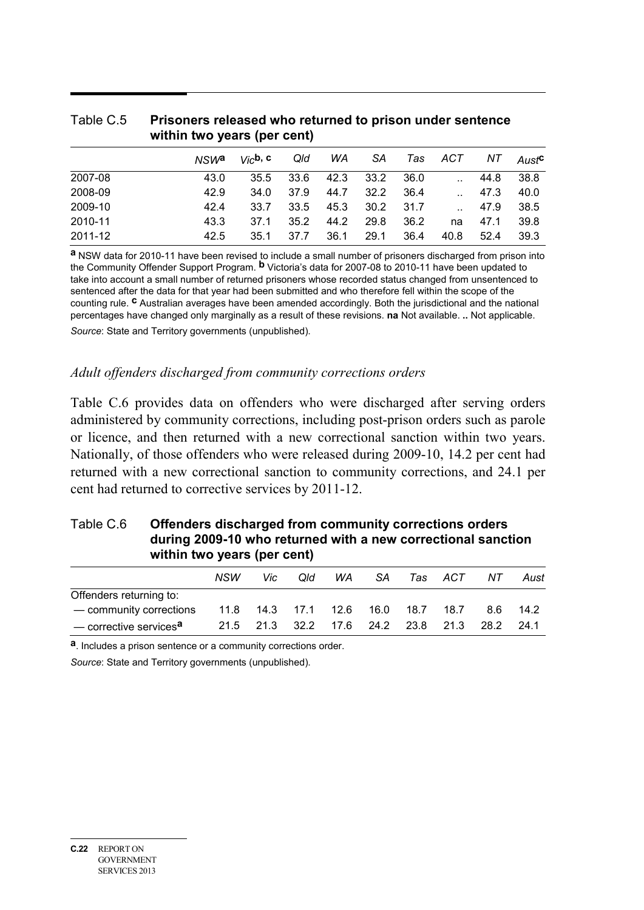|         | WILLIIII LWO YEARS (DEF CEIIL) |                                 |      |      |      |      |         |      |             |
|---------|--------------------------------|---------------------------------|------|------|------|------|---------|------|-------------|
|         | N.SW <sup>a</sup>              | $V$ ic $\mathbf{b}, \mathbf{c}$ | Qld  | WA.  | SA   |      | Tas ACT | NT.  | $A$ ust $C$ |
| 2007-08 | 43.0                           | 35.5                            | 33.6 | 42.3 | 33.2 | 36.0 |         | 44.8 | 38.8        |
| 2008-09 | 42.9                           | 34.0                            | 37.9 | 44.7 | 32.2 | 36.4 |         | 47.3 | 40.0        |
| 2009-10 | 42.4                           | 33.7                            | 33.5 | 45.3 | 30.2 | 31.7 |         | 47.9 | 38.5        |
| 2010-11 | 43.3                           | 37.1                            | 35.2 | 44.2 | 29.8 | 36.2 | na      | 47.1 | 39.8        |
| 2011-12 | 42.5                           | 35.1                            | 37.7 | 36.1 | 29.1 | 36.4 | 40.8    | 52.4 | 39.3        |

#### Table C.5 **Prisoners released who returned to prison under sentence within two years (per cent)**

**a** NSW data for 2010-11 have been revised to include a small number of prisoners discharged from prison into the Community Offender Support Program. **b** Victoria's data for 2007-08 to 2010-11 have been updated to take into account a small number of returned prisoners whose recorded status changed from unsentenced to sentenced after the data for that year had been submitted and who therefore fell within the scope of the counting rule. **c** Australian averages have been amended accordingly. Both the jurisdictional and the national percentages have changed only marginally as a result of these revisions. **na** Not available. **..** Not applicable. *Source*: State and Territory governments (unpublished).

#### *Adult offenders discharged from community corrections orders*

Table C.6 provides data on offenders who were discharged after serving orders administered by community corrections, including post-prison orders such as parole or licence, and then returned with a new correctional sanction within two years. Nationally, of those offenders who were released during 2009-10, 14.2 per cent had returned with a new correctional sanction to community corrections, and 24.1 per cent had returned to corrective services by 2011-12.

#### Table C.6 **Offenders discharged from community corrections orders during 2009-10 who returned with a new correctional sanction within two years (per cent)**

|                                    | NSW | Vic | Qld.                                         | WA 11 | - SA | Tas ACT | NΤ | Aust     |
|------------------------------------|-----|-----|----------------------------------------------|-------|------|---------|----|----------|
| Offenders returning to:            |     |     |                                              |       |      |         |    |          |
| - community corrections            |     |     | 11.8  14.3  17.1  12.6  16.0  18.7  18.7     |       |      |         |    | 8.6 14.2 |
| - corrective services <sup>a</sup> |     |     | 21.5 21.3 32.2 17.6 24.2 23.8 21.3 28.2 24.1 |       |      |         |    |          |

**a**. Includes a prison sentence or a community corrections order.

*Source*: State and Territory governments (unpublished).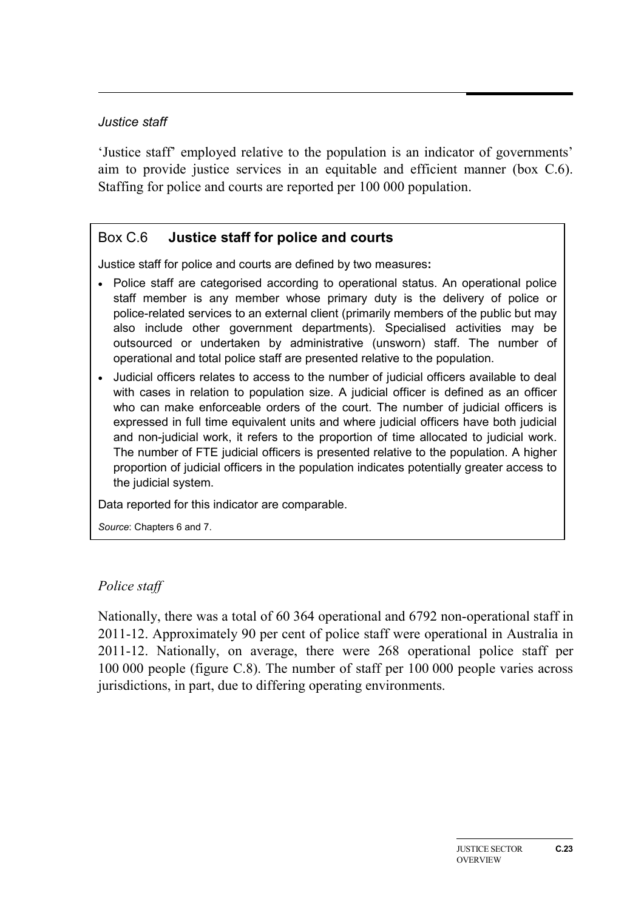#### *Justice staff*

'Justice staff' employed relative to the population is an indicator of governments' aim to provide justice services in an equitable and efficient manner (box C.6). Staffing for police and courts are reported per 100 000 population.

# Box C.6 **Justice staff for police and courts**

Justice staff for police and courts are defined by two measures**:**

- Police staff are categorised according to operational status. An operational police staff member is any member whose primary duty is the delivery of police or police-related services to an external client (primarily members of the public but may also include other government departments). Specialised activities may be outsourced or undertaken by administrative (unsworn) staff. The number of operational and total police staff are presented relative to the population.
- Judicial officers relates to access to the number of judicial officers available to deal with cases in relation to population size. A judicial officer is defined as an officer who can make enforceable orders of the court. The number of judicial officers is expressed in full time equivalent units and where judicial officers have both judicial and non-judicial work, it refers to the proportion of time allocated to judicial work. The number of FTE judicial officers is presented relative to the population. A higher proportion of judicial officers in the population indicates potentially greater access to the judicial system.

Data reported for this indicator are comparable.

*Source*: Chapters 6 and 7.

# *Police staff*

Nationally, there was a total of 60 364 operational and 6792 non-operational staff in 2011-12. Approximately 90 per cent of police staff were operational in Australia in 2011-12. Nationally, on average, there were 268 operational police staff per 100 000 people (figure C.8). The number of staff per 100 000 people varies across jurisdictions, in part, due to differing operating environments.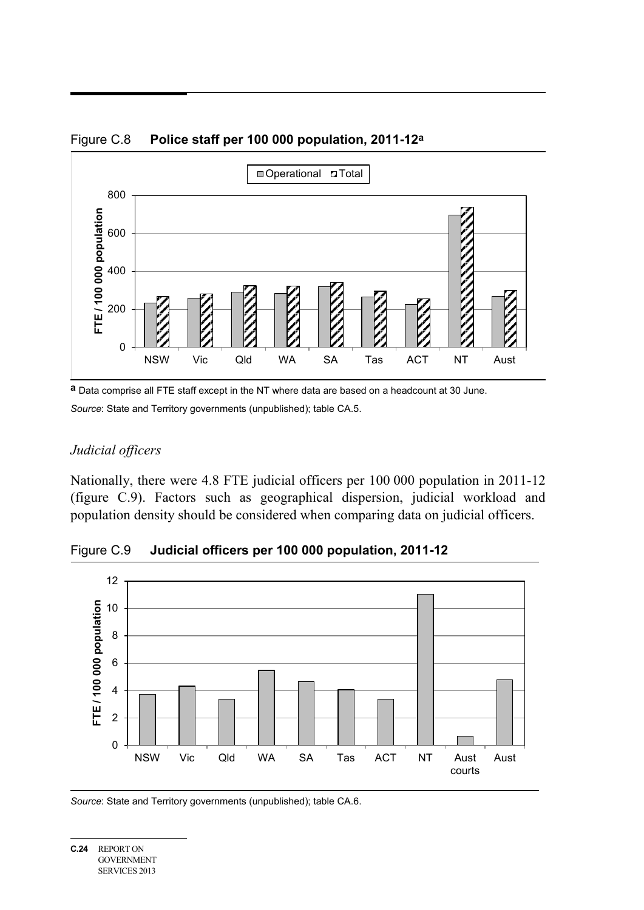

Figure C.8 **Police staff per 100 000 population, 2011-12a**

**a** Data comprise all FTE staff except in the NT where data are based on a headcount at 30 June. *Source*: State and Territory governments (unpublished); table CA.5.

# *Judicial officers*

Nationally, there were 4.8 FTE judicial officers per 100 000 population in 2011-12 (figure C.9). Factors such as geographical dispersion, judicial workload and population density should be considered when comparing data on judicial officers.



Figure C.9 **Judicial officers per 100 000 population, 2011-12**

*Source*: State and Territory governments (unpublished); table CA.6.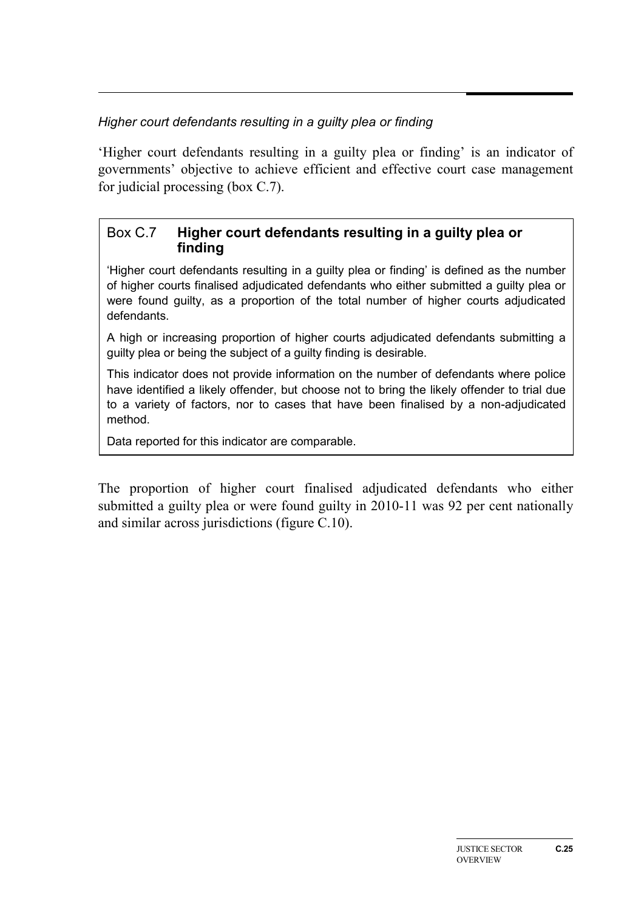# *Higher court defendants resulting in a guilty plea or finding*

'Higher court defendants resulting in a guilty plea or finding' is an indicator of governments' objective to achieve efficient and effective court case management for judicial processing (box C.7).

# Box C.7 **Higher court defendants resulting in a guilty plea or finding**

'Higher court defendants resulting in a guilty plea or finding' is defined as the number of higher courts finalised adjudicated defendants who either submitted a guilty plea or were found guilty, as a proportion of the total number of higher courts adjudicated defendants.

A high or increasing proportion of higher courts adjudicated defendants submitting a guilty plea or being the subject of a guilty finding is desirable.

This indicator does not provide information on the number of defendants where police have identified a likely offender, but choose not to bring the likely offender to trial due to a variety of factors, nor to cases that have been finalised by a non-adjudicated method.

Data reported for this indicator are comparable.

The proportion of higher court finalised adjudicated defendants who either submitted a guilty plea or were found guilty in 2010-11 was 92 per cent nationally and similar across jurisdictions (figure C.10).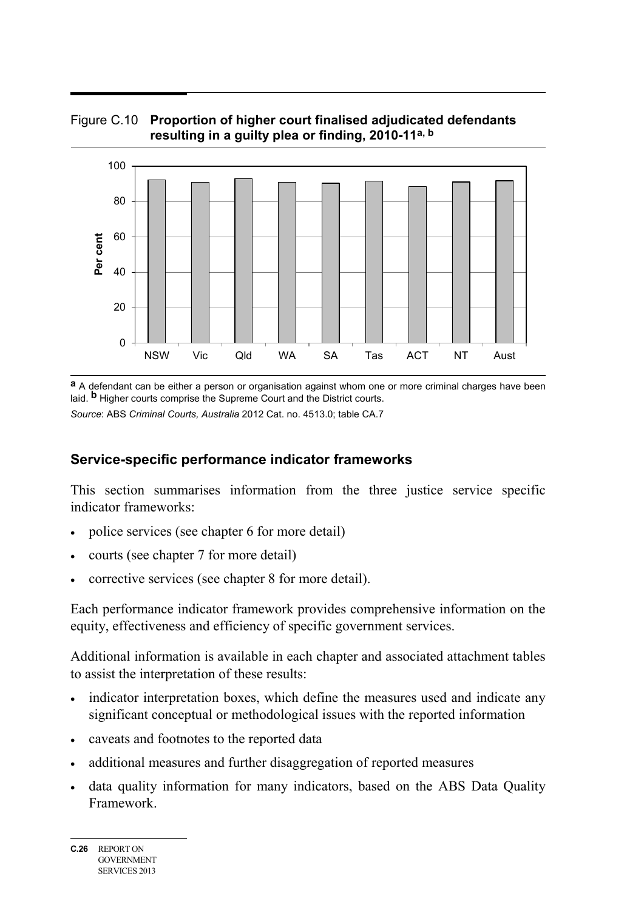



**a** A defendant can be either a person or organisation against whom one or more criminal charges have been laid. **b** Higher courts comprise the Supreme Court and the District courts.

*Source*: ABS *Criminal Courts, Australia* 2012 Cat. no. 4513.0; table CA.7

# **Service-specific performance indicator frameworks**

This section summarises information from the three justice service specific indicator frameworks:

- police services (see chapter 6 for more detail)
- courts (see chapter 7 for more detail)
- corrective services (see chapter 8 for more detail).

Each performance indicator framework provides comprehensive information on the equity, effectiveness and efficiency of specific government services.

Additional information is available in each chapter and associated attachment tables to assist the interpretation of these results:

- indicator interpretation boxes, which define the measures used and indicate any significant conceptual or methodological issues with the reported information
- caveats and footnotes to the reported data
- additional measures and further disaggregation of reported measures
- data quality information for many indicators, based on the ABS Data Quality Framework.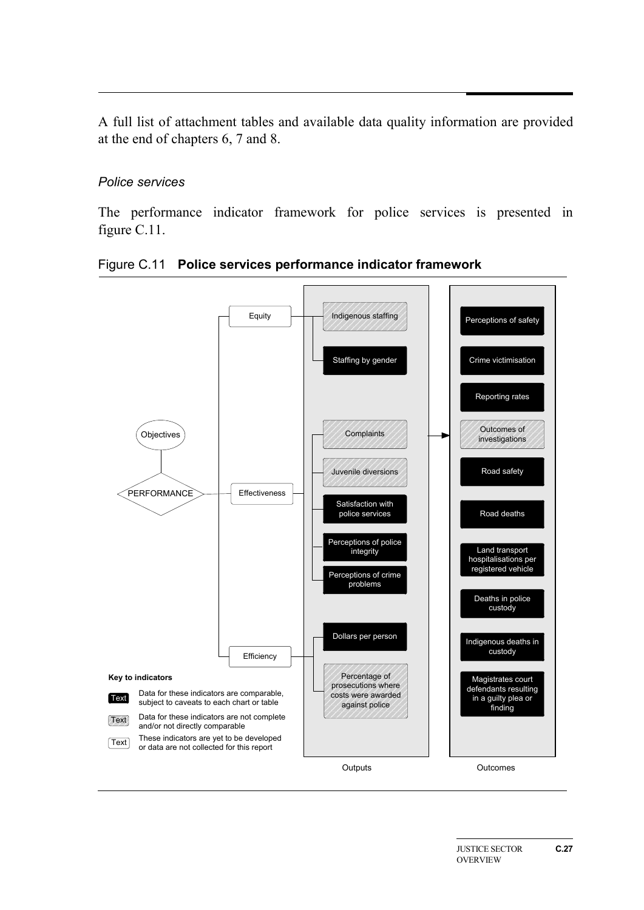A full list of attachment tables and available data quality information are provided at the end of chapters 6, 7 and 8.

#### *Police services*

The performance indicator framework for police services is presented in figure C.11.



Figure C.11 **Police services performance indicator framework**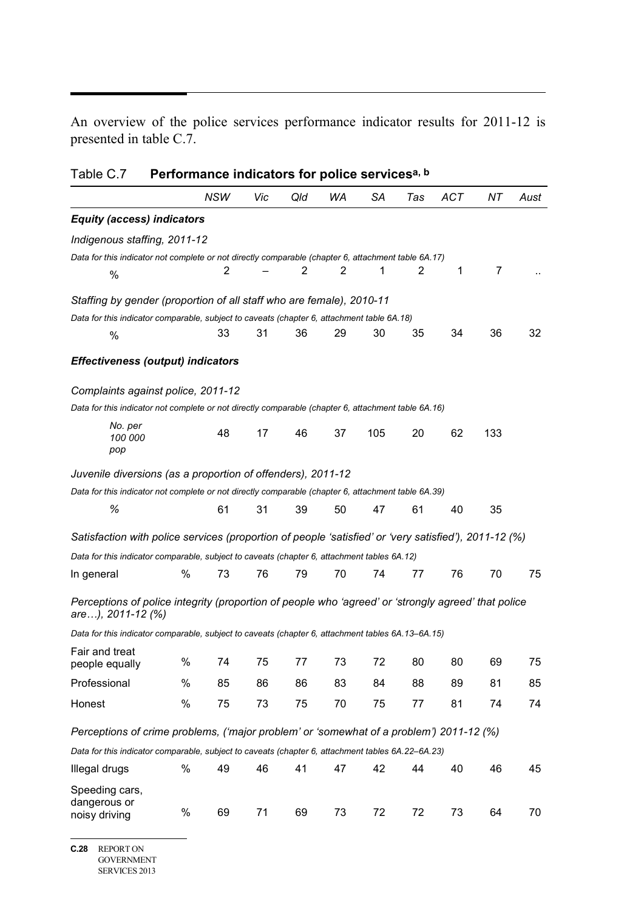An overview of the police services performance indicator results for 2011-12 is presented in table C.7.

|                                                                                                                          |      | <b>NSW</b> | Vic | Qld | WA | <b>SA</b> | Tas | ACT | ΝT  | Aust |
|--------------------------------------------------------------------------------------------------------------------------|------|------------|-----|-----|----|-----------|-----|-----|-----|------|
| <b>Equity (access) indicators</b>                                                                                        |      |            |     |     |    |           |     |     |     |      |
| Indigenous staffing, 2011-12                                                                                             |      |            |     |     |    |           |     |     |     |      |
| Data for this indicator not complete or not directly comparable (chapter 6, attachment table 6A.17)                      |      |            |     |     |    |           |     |     |     |      |
| %                                                                                                                        |      | 2          |     | 2   | 2  | 1         | 2   | 1   | 7   |      |
| Staffing by gender (proportion of all staff who are female), 2010-11                                                     |      |            |     |     |    |           |     |     |     |      |
| Data for this indicator comparable, subject to caveats (chapter 6, attachment table 6A.18)                               |      |            |     |     |    |           |     |     |     |      |
| $\%$                                                                                                                     |      | 33         | 31  | 36  | 29 | 30        | 35  | 34  | 36  | 32   |
| <b>Effectiveness (output) indicators</b>                                                                                 |      |            |     |     |    |           |     |     |     |      |
| Complaints against police, 2011-12                                                                                       |      |            |     |     |    |           |     |     |     |      |
| Data for this indicator not complete or not directly comparable (chapter 6, attachment table 6A.16)                      |      |            |     |     |    |           |     |     |     |      |
| No. per<br>100 000<br>pop                                                                                                |      | 48         | 17  | 46  | 37 | 105       | 20  | 62  | 133 |      |
| Juvenile diversions (as a proportion of offenders), 2011-12                                                              |      |            |     |     |    |           |     |     |     |      |
| Data for this indicator not complete or not directly comparable (chapter 6, attachment table 6A.39)                      |      |            |     |     |    |           |     |     |     |      |
| %                                                                                                                        |      | 61         | 31  | 39  | 50 | 47        | 61  | 40  | 35  |      |
| Satisfaction with police services (proportion of people 'satisfied' or 'very satisfied'), 2011-12 (%)                    |      |            |     |     |    |           |     |     |     |      |
| Data for this indicator comparable, subject to caveats (chapter 6, attachment tables 6A.12)                              |      |            |     |     |    |           |     |     |     |      |
| In general                                                                                                               | %    | 73         | 76  | 79  | 70 | 74        | 77  | 76  | 70  | 75   |
| Perceptions of police integrity (proportion of people who 'agreed' or 'strongly agreed' that police<br>are), 2011-12 (%) |      |            |     |     |    |           |     |     |     |      |
| Data for this indicator comparable, subject to caveats (chapter 6, attachment tables 6A.13–6A.15)                        |      |            |     |     |    |           |     |     |     |      |
| Fair and treat<br>people equally                                                                                         | %    | 74         | 75  | 77  | 73 | 72        | 80  | 80  | 69  | 75   |
| Professional                                                                                                             | %    | 85         | 86  | 86  | 83 | 84        | 88  | 89  | 81  | 85   |
| Honest                                                                                                                   | $\%$ | 75         | 73  | 75  | 70 | 75        | 77  | 81  | 74  | 74   |
| Perceptions of crime problems, ('major problem' or 'somewhat of a problem') 2011-12 (%)                                  |      |            |     |     |    |           |     |     |     |      |
| Data for this indicator comparable, subject to caveats (chapter 6, attachment tables 6A.22-6A.23)                        |      |            |     |     |    |           |     |     |     |      |
| Illegal drugs                                                                                                            | %    | 49         | 46  | 41  | 47 | 42        | 44  | 40  | 46  | 45   |
| Speeding cars,<br>dangerous or<br>noisy driving                                                                          | $\%$ | 69         | 71  | 69  | 73 | 72        | 72  | 73  | 64  | 70   |

Table C.7 **Performance indicators for police servicesa, b**

**C.28** REPORT ON GOVERNMENT SERVICES 2013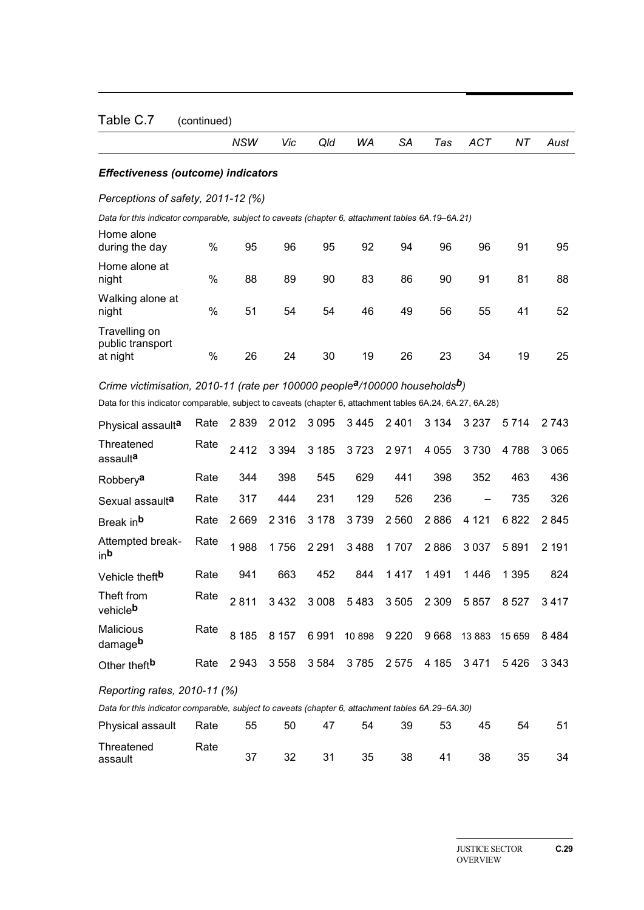# Table C.7 (continued)

|                                                                                                           |      | NSW     | Vic     | Qld     | WA    | SА      | Tas     | <b>ACT</b> | NΤ      | Aust    |
|-----------------------------------------------------------------------------------------------------------|------|---------|---------|---------|-------|---------|---------|------------|---------|---------|
| <b>Effectiveness (outcome) indicators</b>                                                                 |      |         |         |         |       |         |         |            |         |         |
| Perceptions of safety, 2011-12 (%)                                                                        |      |         |         |         |       |         |         |            |         |         |
| Data for this indicator comparable, subject to caveats (chapter 6, attachment tables 6A.19-6A.21)         |      |         |         |         |       |         |         |            |         |         |
| Home alone<br>during the day                                                                              | %    | 95      | 96      | 95      | 92    | 94      | 96      | 96         | 91      | 95      |
| Home alone at<br>night                                                                                    | %    | 88      | 89      | 90      | 83    | 86      | 90      | 91         | 81      | 88      |
| Walking alone at<br>night                                                                                 | %    | 51      | 54      | 54      | 46    | 49      | 56      | 55         | 41      | 52      |
| Travelling on<br>public transport<br>at night                                                             | $\%$ | 26      | 24      | 30      | 19    | 26      | 23      | 34         | 19      | 25      |
| Crime victimisation, 2010-11 (rate per 100000 people <sup>a</sup> /100000 households <sup>b</sup> )       |      |         |         |         |       |         |         |            |         |         |
| Data for this indicator comparable, subject to caveats (chapter 6, attachment tables 6A.24, 6A.27, 6A.28) |      |         |         |         |       |         |         |            |         |         |
| Physical assault <sup>a</sup>                                                                             | Rate | 2839    | 2012    | 3 0 9 5 | 3445  | 2401    | 3 1 3 4 | 3 2 3 7    | 5 7 1 4 | 2 743   |
| Threatened<br>assaulta                                                                                    | Rate | 2412    | 3 3 9 4 | 3 1 8 5 | 3723  | 2971    | 4 0 5 5 | 3730       | 4788    | 3 0 6 5 |
| Robbery <sup>a</sup>                                                                                      | Rate | 344     | 398     | 545     | 629   | 441     | 398     | 352        | 463     | 436     |
| Sexual assault <sup>a</sup>                                                                               | Rate | 317     | 444     | 231     | 129   | 526     | 236     |            | 735     | 326     |
| Break in <sup>b</sup>                                                                                     | Rate | 2669    | 2 3 1 6 | 3 1 7 8 | 3739  | 2 5 6 0 | 2886    | 4 1 2 1    | 6822    | 2845    |
| Attempted break-<br>$in^{\mathbf{b}}$                                                                     | Rate | 1988    | 1756    | 2 2 9 1 | 3488  | 1707    | 2886    | 3 0 3 7    | 5891    | 2 191   |
| Vehicle theft <sup>b</sup>                                                                                | Rate | 941     | 663     | 452     | 844   | 1417    | 1491    | 1446       | 1 3 9 5 | 824     |
| Theft from<br>vehicleb                                                                                    | Rate | 2811    | 3432    | 3 0 0 8 | 5483  | 3505    | 2 3 0 9 | 5857       | 8 5 27  | 3417    |
| <b>Malicious</b><br>damage <sup>b</sup>                                                                   | Rate | 8 1 8 5 | 8 1 5 7 | 6991    | 10898 | 9 2 2 0 | 9668    | 13 883     | 15 659  | 8 4 8 4 |
| Other theft <sup>b</sup>                                                                                  | Rate | 2943    | 3558    | 3584    | 3785  | 2575    | 4 185   | 3471       | 5426    | 3 3 4 3 |
| Reporting rates, 2010-11 (%)                                                                              |      |         |         |         |       |         |         |            |         |         |
| Data for this indicator comparable, subject to caveats (chapter 6, attachment tables 6A.29-6A.30)         |      |         |         |         |       |         |         |            |         |         |
| Physical assault                                                                                          | Rate | 55      | 50      | 47      | 54    | 39      | 53      | 45         | 54      | 51      |
| Threatened<br>assault                                                                                     | Rate | 37      | 32      | 31      | 35    | 38      | 41      | 38         | 35      | 34      |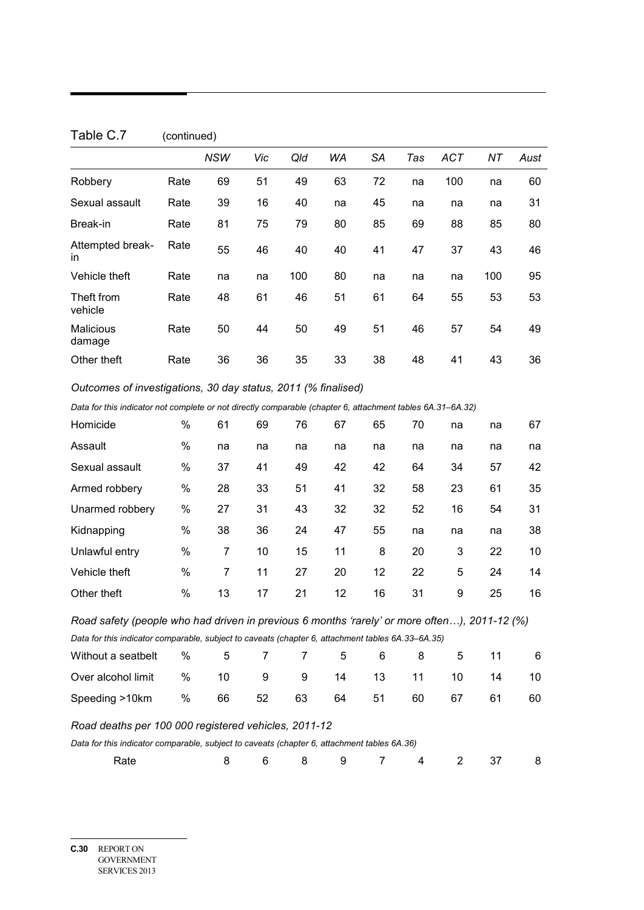| Table C.7                                                                                                                                                                                         | (continued) |                |     |     |    |           |     |            |     |      |
|---------------------------------------------------------------------------------------------------------------------------------------------------------------------------------------------------|-------------|----------------|-----|-----|----|-----------|-----|------------|-----|------|
|                                                                                                                                                                                                   |             | <b>NSW</b>     | Vic | Qld | WA | <b>SA</b> | Tas | <b>ACT</b> | NT  | Aust |
| Robbery                                                                                                                                                                                           | Rate        | 69             | 51  | 49  | 63 | 72        | na  | 100        | na  | 60   |
| Sexual assault                                                                                                                                                                                    | Rate        | 39             | 16  | 40  | na | 45        | na  | na         | na  | 31   |
| Break-in                                                                                                                                                                                          | Rate        | 81             | 75  | 79  | 80 | 85        | 69  | 88         | 85  | 80   |
| Attempted break-<br>in                                                                                                                                                                            | Rate        | 55             | 46  | 40  | 40 | 41        | 47  | 37         | 43  | 46   |
| Vehicle theft                                                                                                                                                                                     | Rate        | na             | na  | 100 | 80 | na        | na  | na         | 100 | 95   |
| Theft from<br>vehicle                                                                                                                                                                             | Rate        | 48             | 61  | 46  | 51 | 61        | 64  | 55         | 53  | 53   |
| <b>Malicious</b><br>damage                                                                                                                                                                        | Rate        | 50             | 44  | 50  | 49 | 51        | 46  | 57         | 54  | 49   |
| Other theft                                                                                                                                                                                       | Rate        | 36             | 36  | 35  | 33 | 38        | 48  | 41         | 43  | 36   |
| Outcomes of investigations, 30 day status, 2011 (% finalised)                                                                                                                                     |             |                |     |     |    |           |     |            |     |      |
| Data for this indicator not complete or not directly comparable (chapter 6, attachment tables 6A.31-6A.32)                                                                                        |             |                |     |     |    |           |     |            |     |      |
| Homicide                                                                                                                                                                                          | %           | 61             | 69  | 76  | 67 | 65        | 70  | na         | na  | 67   |
| Assault                                                                                                                                                                                           | %           | na             | na  | na  | na | na        | na  | na         | na  | na   |
| Sexual assault                                                                                                                                                                                    | %           | 37             | 41  | 49  | 42 | 42        | 64  | 34         | 57  | 42   |
| Armed robbery                                                                                                                                                                                     | %           | 28             | 33  | 51  | 41 | 32        | 58  | 23         | 61  | 35   |
| Unarmed robbery                                                                                                                                                                                   | %           | 27             | 31  | 43  | 32 | 32        | 52  | 16         | 54  | 31   |
| Kidnapping                                                                                                                                                                                        | %           | 38             | 36  | 24  | 47 | 55        | na  | na         | na  | 38   |
| Unlawful entry                                                                                                                                                                                    | %           | $\overline{7}$ | 10  | 15  | 11 | 8         | 20  | 3          | 22  | 10   |
| Vehicle theft                                                                                                                                                                                     | %           | $\overline{7}$ | 11  | 27  | 20 | 12        | 22  | 5          | 24  | 14   |
| Other theft                                                                                                                                                                                       | %           | 13             | 17  | 21  | 12 | 16        | 31  | 9          | 25  | 16   |
| Road safety (people who had driven in previous 6 months 'rarely' or more often), 2011-12 (%)<br>Data for this indicator comparable, subject to caveats (chapter 6, attachment tables 6A.33-6A.35) |             |                |     |     |    |           |     |            |     |      |
| Without a seatbelt                                                                                                                                                                                | %           | 5              | 7   | 7   | 5  | 6         | 8   | 5          | 11  | 6    |
| Over alcohol limit                                                                                                                                                                                | %           | 10             | 9   | 9   | 14 | 13        | 11  | 10         | 14  | 10   |
| Speeding >10km                                                                                                                                                                                    | %           | 66             | 52  | 63  | 64 | 51        | 60  | 67         | 61  | 60   |
| Road deaths per 100 000 registered vehicles, 2011-12<br>Data for this indicator comparable, subject to caveats (chapter 6, attachment tables 6A.36)                                               |             |                |     |     |    |           |     |            |     |      |
| Rate                                                                                                                                                                                              |             | 8              | 6   | 8   | 9  | 7         | 4   | 2          | 37  | 8    |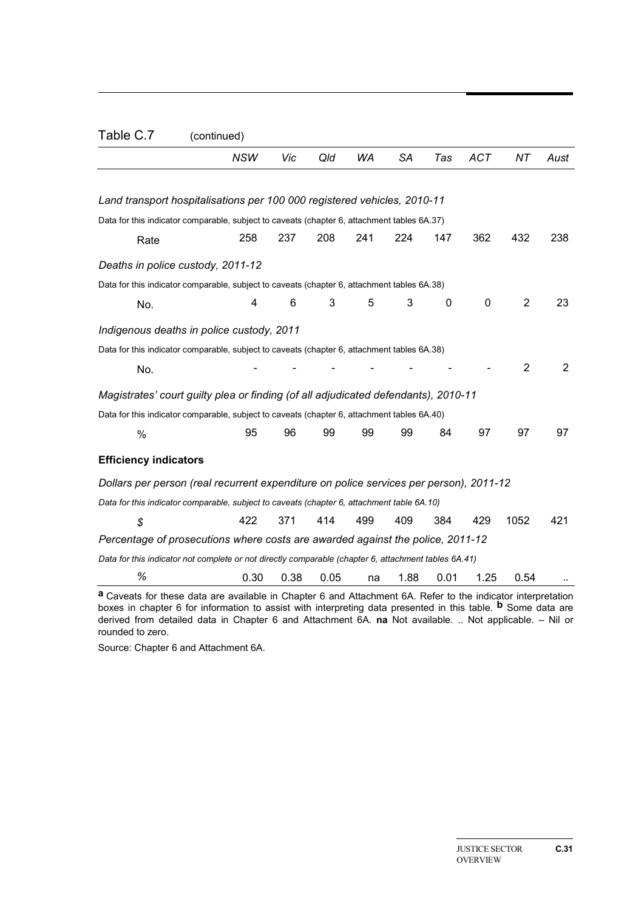| Table C.7                    | (continued)                                                                                          |      |      |     |      |      |            |                |              |
|------------------------------|------------------------------------------------------------------------------------------------------|------|------|-----|------|------|------------|----------------|--------------|
|                              | NSW                                                                                                  | Vic  | Qld  | WA  | SA   | Tas  | <b>ACT</b> | NT             | Aust         |
|                              |                                                                                                      |      |      |     |      |      |            |                |              |
|                              | Land transport hospitalisations per 100 000 registered vehicles, 2010-11                             |      |      |     |      |      |            |                |              |
|                              | Data for this indicator comparable, subject to caveats (chapter 6, attachment tables 6A.37)          |      |      |     |      |      |            |                |              |
| Rate                         | 258                                                                                                  | 237  | 208  | 241 | 224  | 147  | 362        | 432            | 238          |
|                              | Deaths in police custody, 2011-12                                                                    |      |      |     |      |      |            |                |              |
|                              | Data for this indicator comparable, subject to caveats (chapter 6, attachment tables 6A.38)          |      |      |     |      |      |            |                |              |
| No.                          | 4                                                                                                    | 6    | 3    | 5   | 3    | 0    | 0          | $\overline{2}$ | 23           |
|                              | Indigenous deaths in police custody, 2011                                                            |      |      |     |      |      |            |                |              |
|                              | Data for this indicator comparable, subject to caveats (chapter 6, attachment tables 6A.38)          |      |      |     |      |      |            |                |              |
| No.                          |                                                                                                      |      |      |     |      |      |            | 2              | $\mathbf{2}$ |
|                              | Magistrates' court guilty plea or finding (of all adjudicated defendants), 2010-11                   |      |      |     |      |      |            |                |              |
|                              | Data for this indicator comparable, subject to caveats (chapter 6, attachment tables 6A.40)          |      |      |     |      |      |            |                |              |
| $\%$                         | 95                                                                                                   | 96   | 99   | 99  | 99   | 84   | 97         | 97             | 97           |
| <b>Efficiency indicators</b> |                                                                                                      |      |      |     |      |      |            |                |              |
|                              | Dollars per person (real recurrent expenditure on police services per person), 2011-12               |      |      |     |      |      |            |                |              |
|                              | Data for this indicator comparable, subject to caveats (chapter 6, attachment table 6A.10)           |      |      |     |      |      |            |                |              |
| \$                           | 422                                                                                                  | 371  | 414  | 499 | 409  | 384  | 429        | 1052           | 421          |
|                              | Percentage of prosecutions where costs are awarded against the police, 2011-12                       |      |      |     |      |      |            |                |              |
|                              | Data for this indicator not complete or not directly comparable (chapter 6, attachment tables 6A.41) |      |      |     |      |      |            |                |              |
| %                            | 0.30                                                                                                 | 0.38 | 0.05 | na  | 1.88 | 0.01 | 1.25       | 0.54           |              |
|                              |                                                                                                      |      |      |     |      |      |            |                |              |

**a** Caveats for these data are available in Chapter 6 and Attachment 6A. Refer to the indicator interpretation boxes in chapter 6 for information to assist with interpreting data presented in this table. **b** Some data are derived from detailed data in Chapter 6 and Attachment 6A. **na** Not available. .. Not applicable. – Nil or rounded to zero.

Source: Chapter 6 and Attachment 6A.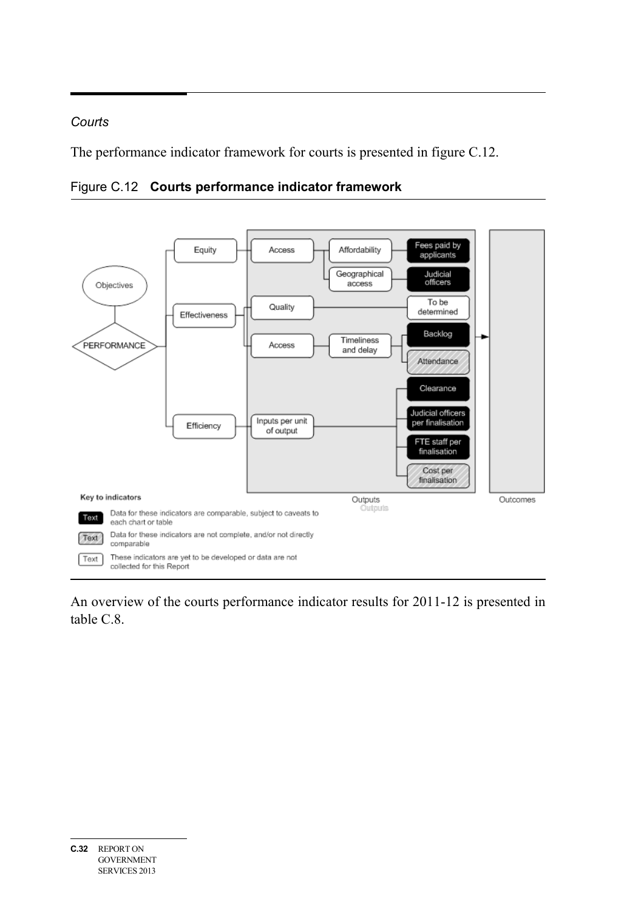# *Courts*

The performance indicator framework for courts is presented in figure C.12.





An overview of the courts performance indicator results for 2011-12 is presented in table C.8.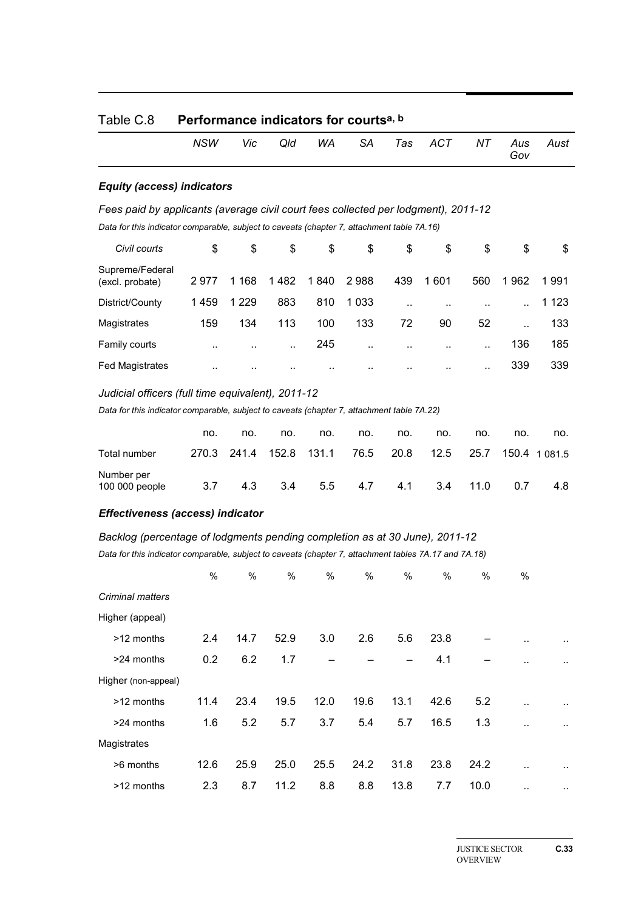|                                                                                                       | <b>NSW</b> | Vic     | Qld   | WA    | <b>SA</b> | Tas       | <b>ACT</b>           | ΝT                   | Aus<br>Gov | Aust          |
|-------------------------------------------------------------------------------------------------------|------------|---------|-------|-------|-----------|-----------|----------------------|----------------------|------------|---------------|
| <b>Equity (access) indicators</b>                                                                     |            |         |       |       |           |           |                      |                      |            |               |
| Fees paid by applicants (average civil court fees collected per lodgment), 2011-12                    |            |         |       |       |           |           |                      |                      |            |               |
| Data for this indicator comparable, subject to caveats (chapter 7, attachment table 7A.16)            |            |         |       |       |           |           |                      |                      |            |               |
| Civil courts                                                                                          | \$         | \$      | \$    | \$    | \$        | \$        | \$                   | \$                   | \$         | \$            |
| Supreme/Federal<br>(excl. probate)                                                                    | 2977       | 1 1 6 8 | 1482  | 1840  | 2988      | 439       | 1601                 | 560                  | 1962       | 1991          |
| District/County                                                                                       | 1459       | 1 2 2 9 | 883   | 810   | 1 0 3 3   | $\ddotsc$ | $\ddot{\phantom{a}}$ | $\ddot{\phantom{a}}$ | Ω.         | 1 1 2 3       |
| Magistrates                                                                                           | 159        | 134     | 113   | 100   | 133       | 72        | 90                   | 52                   | $\ddotsc$  | 133           |
| Family courts                                                                                         | ٠.         |         | ٠.    | 245   |           |           |                      |                      | 136        | 185           |
| <b>Fed Magistrates</b>                                                                                | ٠.         |         |       |       |           |           |                      | Ω.                   | 339        | 339           |
| Judicial officers (full time equivalent), 2011-12                                                     |            |         |       |       |           |           |                      |                      |            |               |
| Data for this indicator comparable, subject to caveats (chapter 7, attachment table 7A.22)            |            |         |       |       |           |           |                      |                      |            |               |
|                                                                                                       | no.        | no.     | no.   | no.   | no.       | no.       | no.                  | no.                  | no.        | no.           |
| Total number                                                                                          | 270.3      | 241.4   | 152.8 | 131.1 | 76.5      | 20.8      | 12.5                 | 25.7                 |            | 150.4 1 081.5 |
| Number per<br>100 000 people                                                                          | 3.7        | 4.3     | 3.4   | 5.5   | 4.7       | 4.1       | 3.4                  | 11.0                 | 0.7        | 4.8           |
| <b>Effectiveness (access) indicator</b>                                                               |            |         |       |       |           |           |                      |                      |            |               |
| Backlog (percentage of lodgments pending completion as at 30 June), 2011-12                           |            |         |       |       |           |           |                      |                      |            |               |
| Data for this indicator comparable, subject to caveats (chapter 7, attachment tables 7A.17 and 7A.18) |            |         |       |       |           |           |                      |                      |            |               |
|                                                                                                       | %          | $\%$    | $\%$  | %     | %         | %         | %                    | $\%$                 | %          |               |
| Criminal matters                                                                                      |            |         |       |       |           |           |                      |                      |            |               |
| Higher (appeal)                                                                                       |            |         |       |       |           |           |                      |                      |            |               |
| >12 months                                                                                            | 2.4        | 14.7    | 52.9  | 3.0   | 2.6       | 5.6       | 23.8                 |                      |            |               |
| >24 months                                                                                            | 0.2        | 6.2     | 1.7   |       |           |           | 4.1                  |                      |            | ٠.            |
| Higher (non-appeal)                                                                                   |            |         |       |       |           |           |                      |                      |            |               |
| >12 months                                                                                            | 11.4       | 23.4    | 19.5  | 12.0  | 19.6      | 13.1      | 42.6                 | 5.2                  |            |               |
| >24 months                                                                                            | 1.6        | 5.2     | 5.7   | 3.7   | 5.4       | 5.7       | 16.5                 | 1.3                  |            | ٠.            |
| Magistrates                                                                                           |            |         |       |       |           |           |                      |                      |            |               |
| >6 months                                                                                             | 12.6       | 25.9    | 25.0  | 25.5  | 24.2      | 31.8      | 23.8                 | 24.2                 |            |               |
| >12 months                                                                                            | 2.3        | 8.7     | 11.2  | 8.8   | 8.8       | 13.8      | 7.7                  | 10.0                 |            |               |

#### Table C.8 **Performance indicators for courtsa, b**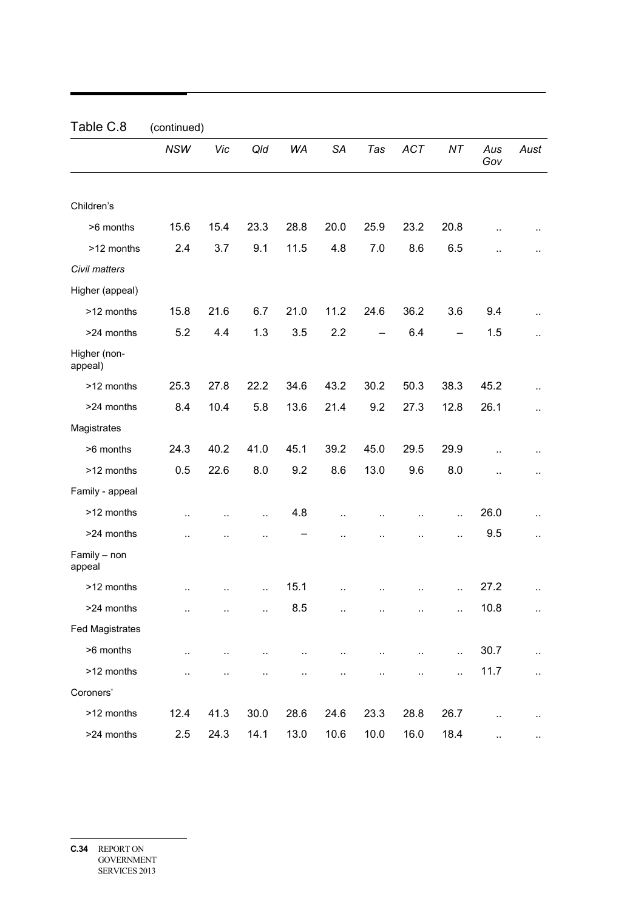| $I$ and $O$ . $O$       | (continued)          |                      |           |      |                      |                      |                      |                        |                      |                      |  |
|-------------------------|----------------------|----------------------|-----------|------|----------------------|----------------------|----------------------|------------------------|----------------------|----------------------|--|
|                         | <b>NSW</b>           | Vic                  | Qld       | WA   | <b>SA</b>            | Tas                  | <b>ACT</b>           | NT                     | Aus<br>Gov           | Aust                 |  |
|                         |                      |                      |           |      |                      |                      |                      |                        |                      |                      |  |
| Children's              |                      |                      |           |      |                      |                      |                      |                        |                      |                      |  |
| >6 months               | 15.6                 | 15.4                 | 23.3      | 28.8 | 20.0                 | 25.9                 | 23.2                 | 20.8                   | $\ddot{\phantom{a}}$ | $\cdot$ .            |  |
| >12 months              | 2.4                  | 3.7                  | 9.1       | 11.5 | 4.8                  | 7.0                  | 8.6                  | 6.5                    | $\ddot{\phantom{a}}$ | $\ddot{\phantom{a}}$ |  |
| Civil matters           |                      |                      |           |      |                      |                      |                      |                        |                      |                      |  |
| Higher (appeal)         |                      |                      |           |      |                      |                      |                      |                        |                      |                      |  |
| >12 months              | 15.8                 | 21.6                 | 6.7       | 21.0 | 11.2                 | 24.6                 | 36.2                 | 3.6                    | 9.4                  | $\ddotsc$            |  |
| >24 months              | 5.2                  | 4.4                  | 1.3       | 3.5  | 2.2                  |                      | 6.4                  |                        | 1.5                  | $\ddot{\phantom{a}}$ |  |
| Higher (non-<br>appeal) |                      |                      |           |      |                      |                      |                      |                        |                      |                      |  |
| >12 months              | 25.3                 | 27.8                 | 22.2      | 34.6 | 43.2                 | 30.2                 | 50.3                 | 38.3                   | 45.2                 | $\ddot{\phantom{a}}$ |  |
| >24 months              | 8.4                  | 10.4                 | 5.8       | 13.6 | 21.4                 | 9.2                  | 27.3                 | 12.8                   | 26.1                 | $\ddotsc$            |  |
| Magistrates             |                      |                      |           |      |                      |                      |                      |                        |                      |                      |  |
| >6 months               | 24.3                 | 40.2                 | 41.0      | 45.1 | 39.2                 | 45.0                 | 29.5                 | 29.9                   |                      | $\ddot{\phantom{a}}$ |  |
| >12 months              | 0.5                  | 22.6                 | 8.0       | 9.2  | 8.6                  | 13.0                 | 9.6                  | 8.0                    |                      | $\ddot{\phantom{a}}$ |  |
| Family - appeal         |                      |                      |           |      |                      |                      |                      |                        |                      |                      |  |
| >12 months              | $\ddot{\phantom{a}}$ | $\cdot$              | $\ddotsc$ | 4.8  | $\ddot{\phantom{a}}$ | $\ddot{\phantom{0}}$ | ٠.                   | $\ddot{\phantom{a}}$   | 26.0                 | $\ddot{\phantom{a}}$ |  |
| >24 months              | ä.                   | $\ddot{\phantom{a}}$ | Ω.        |      | $\ddot{\phantom{a}}$ | $\ddot{\phantom{a}}$ | $\ddot{\phantom{a}}$ | $\ddotsc$              | 9.5                  | $\ddotsc$            |  |
| Family - non<br>appeal  |                      |                      |           |      |                      |                      |                      |                        |                      |                      |  |
| >12 months              |                      |                      | Ω.        | 15.1 | Ω.                   |                      |                      | μ.                     | 27.2                 | $\ddot{\phantom{a}}$ |  |
| >24 months              | $\cdot$ .            | $\cdot$ .            | $\cdot$ . | 8.5  | .,                   | $\sim$               | ٠.                   | $\cdot$ .              | 10.8                 |                      |  |
| <b>Fed Magistrates</b>  |                      |                      |           |      |                      |                      |                      |                        |                      |                      |  |
| >6 months               |                      |                      |           | Ω.   | Ω.                   | Ω.                   | $\ddot{\phantom{a}}$ | $\ddot{\phantom{a}}$ . | 30.7                 | $\ddotsc$            |  |
| >12 months              |                      |                      |           |      |                      |                      |                      |                        | 11.7                 | ä.                   |  |
| Coroners'               |                      |                      |           |      |                      |                      |                      |                        |                      |                      |  |
| >12 months              | 12.4                 | 41.3                 | 30.0      | 28.6 | 24.6                 | 23.3                 | 28.8                 | 26.7                   |                      |                      |  |
| >24 months              | 2.5                  | 24.3                 | 14.1      | 13.0 | 10.6                 | 10.0                 | 16.0                 | 18.4                   | $\ddotsc$            | $\ddotsc$            |  |

### Table C.8 (continued)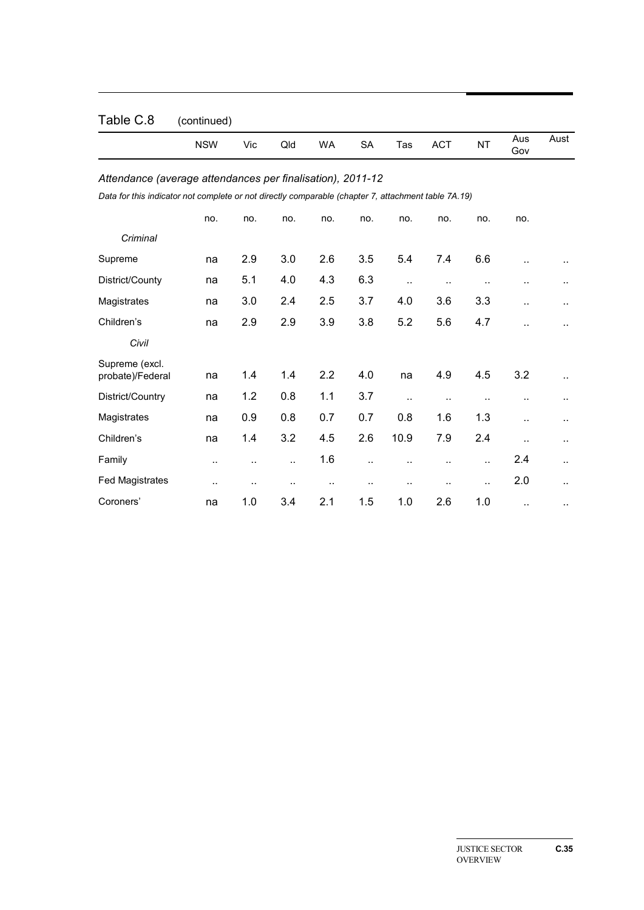| Table C.8                                                                                           | (continued) |     |     |     |           |                      |            |           |                      |      |
|-----------------------------------------------------------------------------------------------------|-------------|-----|-----|-----|-----------|----------------------|------------|-----------|----------------------|------|
|                                                                                                     | <b>NSW</b>  | Vic | Qld | WA  | <b>SA</b> | Tas                  | <b>ACT</b> | <b>NT</b> | Aus<br>Gov           | Aust |
| Attendance (average attendances per finalisation), 2011-12                                          |             |     |     |     |           |                      |            |           |                      |      |
| Data for this indicator not complete or not directly comparable (chapter 7, attachment table 7A.19) |             |     |     |     |           |                      |            |           |                      |      |
|                                                                                                     | no.         | no. | no. | no. | no.       | no.                  | no.        | no.       | no.                  |      |
| Criminal                                                                                            |             |     |     |     |           |                      |            |           |                      |      |
| Supreme                                                                                             | na          | 2.9 | 3.0 | 2.6 | 3.5       | 5.4                  | 7.4        | 6.6       | ٠.                   |      |
| District/County                                                                                     | na          | 5.1 | 4.0 | 4.3 | 6.3       | $\ddotsc$            |            | $\ddotsc$ | $\ddot{\phantom{a}}$ |      |
| Magistrates                                                                                         | na          | 3.0 | 2.4 | 2.5 | 3.7       | 4.0                  | 3.6        | 3.3       | $\ddot{\phantom{a}}$ | ٠.   |
| Children's                                                                                          | na          | 2.9 | 2.9 | 3.9 | 3.8       | 5.2                  | 5.6        | 4.7       | $\ddot{\phantom{a}}$ | ٠.   |
| Civil                                                                                               |             |     |     |     |           |                      |            |           |                      |      |
| Supreme (excl.<br>probate)/Federal                                                                  | na          | 1.4 | 1.4 | 2.2 | 4.0       | na                   | 4.9        | 4.5       | 3.2                  |      |
| District/Country                                                                                    | na          | 1.2 | 0.8 | 1.1 | 3.7       | $\ddot{\phantom{a}}$ | .,         | ٠.        |                      |      |
| Magistrates                                                                                         | na          | 0.9 | 0.8 | 0.7 | 0.7       | 0.8                  | 1.6        | 1.3       | $\ddot{\phantom{a}}$ |      |
| Children's                                                                                          | na          | 1.4 | 3.2 | 4.5 | 2.6       | 10.9                 | 7.9        | 2.4       | $\ddotsc$            | ٠.   |
| Family                                                                                              | ٠.          |     |     | 1.6 |           | ٠.                   |            |           | 2.4                  | ٠.   |
| <b>Fed Magistrates</b>                                                                              | ٠.          |     | ٠.  |     |           | ٠.                   |            |           | 2.0                  | ٠.   |
| Coroners'                                                                                           | na          | 1.0 | 3.4 | 2.1 | 1.5       | 1.0                  | 2.6        | 1.0       | $\ddotsc$            |      |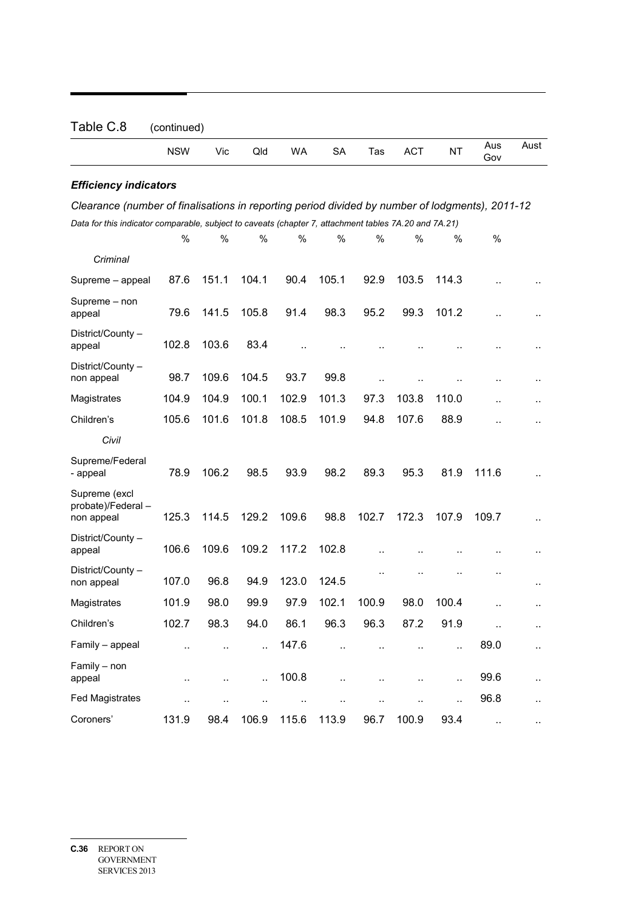| Table C.8                                                                                             | (continued) |       |                      |           |                      |       |            |                      |                      |                      |
|-------------------------------------------------------------------------------------------------------|-------------|-------|----------------------|-----------|----------------------|-------|------------|----------------------|----------------------|----------------------|
|                                                                                                       | <b>NSW</b>  | Vic   | Qld                  | <b>WA</b> | <b>SA</b>            | Tas   | <b>ACT</b> | <b>NT</b>            | Aus<br>Gov           | Aust                 |
| <b>Efficiency indicators</b>                                                                          |             |       |                      |           |                      |       |            |                      |                      |                      |
| Clearance (number of finalisations in reporting period divided by number of lodgments), 2011-12       |             |       |                      |           |                      |       |            |                      |                      |                      |
| Data for this indicator comparable, subject to caveats (chapter 7, attachment tables 7A.20 and 7A.21) |             |       |                      |           |                      |       |            |                      |                      |                      |
|                                                                                                       | %           | %     | $\%$                 | %         | $\%$                 | $\%$  | %          | %                    | %                    |                      |
| Criminal                                                                                              |             |       |                      |           |                      |       |            |                      |                      |                      |
| Supreme - appeal                                                                                      | 87.6        | 151.1 | 104.1                | 90.4      | 105.1                | 92.9  | 103.5      | 114.3                | $\ddot{\phantom{a}}$ |                      |
| Supreme - non<br>appeal                                                                               | 79.6        | 141.5 | 105.8                | 91.4      | 98.3                 | 95.2  | 99.3       | 101.2                | $\ddot{\phantom{a}}$ |                      |
| District/County -<br>appeal                                                                           | 102.8       | 103.6 | 83.4                 |           |                      |       |            |                      |                      |                      |
| District/County -<br>non appeal                                                                       | 98.7        | 109.6 | 104.5                | 93.7      | 99.8                 |       |            |                      | ٠.                   |                      |
| Magistrates                                                                                           | 104.9       | 104.9 | 100.1                | 102.9     | 101.3                | 97.3  | 103.8      | 110.0                | $\ddot{\phantom{a}}$ |                      |
| Children's                                                                                            | 105.6       | 101.6 | 101.8                | 108.5     | 101.9                | 94.8  | 107.6      | 88.9                 |                      |                      |
| Civil                                                                                                 |             |       |                      |           |                      |       |            |                      |                      |                      |
| Supreme/Federal<br>- appeal                                                                           | 78.9        | 106.2 | 98.5                 | 93.9      | 98.2                 | 89.3  | 95.3       | 81.9                 | 111.6                |                      |
| Supreme (excl<br>probate)/Federal-<br>non appeal                                                      | 125.3       | 114.5 | 129.2                | 109.6     | 98.8                 | 102.7 | 172.3      | 107.9                | 109.7                | $\ddot{\phantom{a}}$ |
| District/County -<br>appeal                                                                           | 106.6       | 109.6 | 109.2                | 117.2     | 102.8                |       |            |                      |                      |                      |
| District/County -<br>non appeal                                                                       | 107.0       | 96.8  | 94.9                 | 123.0     | 124.5                |       |            |                      |                      |                      |
| Magistrates                                                                                           | 101.9       | 98.0  | 99.9                 | 97.9      | 102.1                | 100.9 | 98.0       | 100.4                |                      | Ω.                   |
| Children's                                                                                            | 102.7       | 98.3  | 94.0                 | 86.1      | 96.3                 | 96.3  | 87.2       | 91.9                 | Ω.                   |                      |
| Family - appeal                                                                                       | ä,          | Ω.    | $\ddot{\phantom{a}}$ | 147.6     |                      |       |            | Ω.                   | 89.0                 | Ω.                   |
| Family - non<br>appeal                                                                                |             | ٠.    | Ω.                   | 100.8     |                      |       |            |                      | 99.6                 |                      |
| <b>Fed Magistrates</b>                                                                                | $\ddotsc$   |       |                      |           | $\ddot{\phantom{a}}$ | μ.    | $\ddotsc$  | $\ddot{\phantom{a}}$ | 96.8                 |                      |
| Coroners'                                                                                             | 131.9       | 98.4  | 106.9                | 115.6     | 113.9                | 96.7  | 100.9      | 93.4                 | $\ddotsc$            | $\sim$               |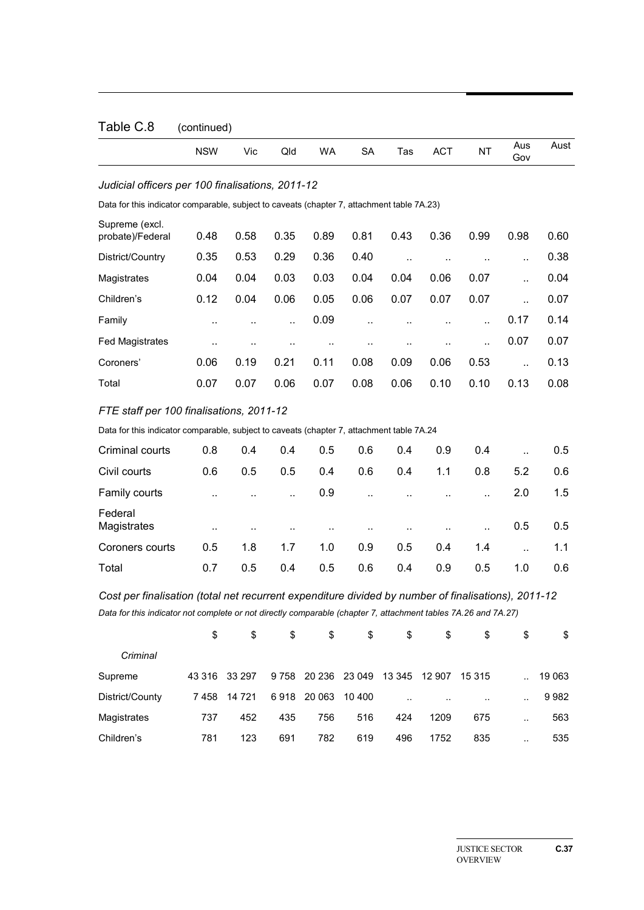# Table C.8 (continued)

|                                                                                                                | <b>NSW</b> | Vic                  | Qld                  | <b>WA</b> | <b>SA</b>            | Tas                  | <b>ACT</b>           | ΝT                   | Aus<br>Gov           | Aust |
|----------------------------------------------------------------------------------------------------------------|------------|----------------------|----------------------|-----------|----------------------|----------------------|----------------------|----------------------|----------------------|------|
| Judicial officers per 100 finalisations, 2011-12                                                               |            |                      |                      |           |                      |                      |                      |                      |                      |      |
| Data for this indicator comparable, subject to caveats (chapter 7, attachment table 7A.23)                     |            |                      |                      |           |                      |                      |                      |                      |                      |      |
| Supreme (excl.<br>probate)/Federal                                                                             | 0.48       | 0.58                 | 0.35                 | 0.89      | 0.81                 | 0.43                 | 0.36                 | 0.99                 | 0.98                 | 0.60 |
| District/Country                                                                                               | 0.35       | 0.53                 | 0.29                 | 0.36      | 0.40                 | $\ddotsc$            | Ω,                   | $\ddot{\phantom{a}}$ | Ω.                   | 0.38 |
| Magistrates                                                                                                    | 0.04       | 0.04                 | 0.03                 | 0.03      | 0.04                 | 0.04                 | 0.06                 | 0.07                 | $\ddot{\phantom{a}}$ | 0.04 |
| Children's                                                                                                     | 0.12       | 0.04                 | 0.06                 | 0.05      | 0.06                 | 0.07                 | 0.07                 | 0.07                 | $\ddot{\phantom{a}}$ | 0.07 |
| Family                                                                                                         | Ω.         | Ω.                   | Ω.                   | 0.09      | Ω.                   | $\ddot{\phantom{a}}$ | $\ddot{\phantom{a}}$ | $\ddotsc$            | 0.17                 | 0.14 |
| <b>Fed Magistrates</b>                                                                                         |            |                      |                      |           | $\ddot{\phantom{a}}$ |                      | Ω.                   | ă.                   | 0.07                 | 0.07 |
| Coroners'                                                                                                      | 0.06       | 0.19                 | 0.21                 | 0.11      | 0.08                 | 0.09                 | 0.06                 | 0.53                 | $\ddot{\phantom{a}}$ | 0.13 |
| Total                                                                                                          | 0.07       | 0.07                 | 0.06                 | 0.07      | 0.08                 | 0.06                 | 0.10                 | 0.10                 | 0.13                 | 0.08 |
| FTE staff per 100 finalisations, 2011-12                                                                       |            |                      |                      |           |                      |                      |                      |                      |                      |      |
| Data for this indicator comparable, subject to caveats (chapter 7, attachment table 7A.24                      |            |                      |                      |           |                      |                      |                      |                      |                      |      |
| <b>Criminal courts</b>                                                                                         | 0.8        | 0.4                  | 0.4                  | 0.5       | 0.6                  | 0.4                  | 0.9                  | 0.4                  | $\ddot{\phantom{a}}$ | 0.5  |
| Civil courts                                                                                                   | 0.6        | 0.5                  | 0.5                  | 0.4       | 0.6                  | 0.4                  | 1.1                  | 0.8                  | 5.2                  | 0.6  |
| Family courts                                                                                                  | ٠.         | $\ddot{\phantom{a}}$ | $\ddot{\phantom{a}}$ | 0.9       | Ω.                   | $\ddot{\phantom{0}}$ | $\ddot{\phantom{a}}$ | $\ddot{\phantom{a}}$ | 2.0                  | 1.5  |
| Federal<br>Magistrates                                                                                         | ٠.         |                      |                      | $\ddotsc$ |                      |                      |                      |                      | 0.5                  | 0.5  |
| Coroners courts                                                                                                | 0.5        | 1.8                  | 1.7                  | 1.0       | 0.9                  | 0.5                  | 0.4                  | 1.4                  | $\ddot{\phantom{a}}$ | 1.1  |
| Total                                                                                                          | 0.7        | 0.5                  | 0.4                  | 0.5       | 0.6                  | 0.4                  | 0.9                  | 0.5                  | 1.0                  | 0.6  |
| Cost per finalisation (total net recurrent expenditure divided by number of finalisations), 2011-12            |            |                      |                      |           |                      |                      |                      |                      |                      |      |
| Data for this indicator not complete or not directly comparable (chapter 7, attachment tables 7A.26 and 7A.27) |            |                      |                      |           |                      |                      |                      |                      |                      |      |
|                                                                                                                | \$         | \$                   | \$                   | \$        | \$                   | \$                   | \$                   | \$                   | \$                   | \$   |
| Criminal                                                                                                       |            |                      |                      |           |                      |                      |                      |                      |                      |      |

| Supreme         |     | 43 316 33 297 9 758 20 236 23 049 13 345 12 907 15 315 |     |     |     |        |      |     |           | 19 063 |
|-----------------|-----|--------------------------------------------------------|-----|-----|-----|--------|------|-----|-----------|--------|
| District/County |     | 7 458 14 721 6 918 20 063 10 400                       |     |     |     | $\sim$ |      |     |           | 9982   |
| Magistrates     | 737 | 452                                                    | 435 | 756 | 516 | 424    | 1209 | 675 |           | 563    |
| Children's      | 781 | 123                                                    | 691 | 782 | 619 | 496    | 1752 | 835 | $\cdot$ . | 535    |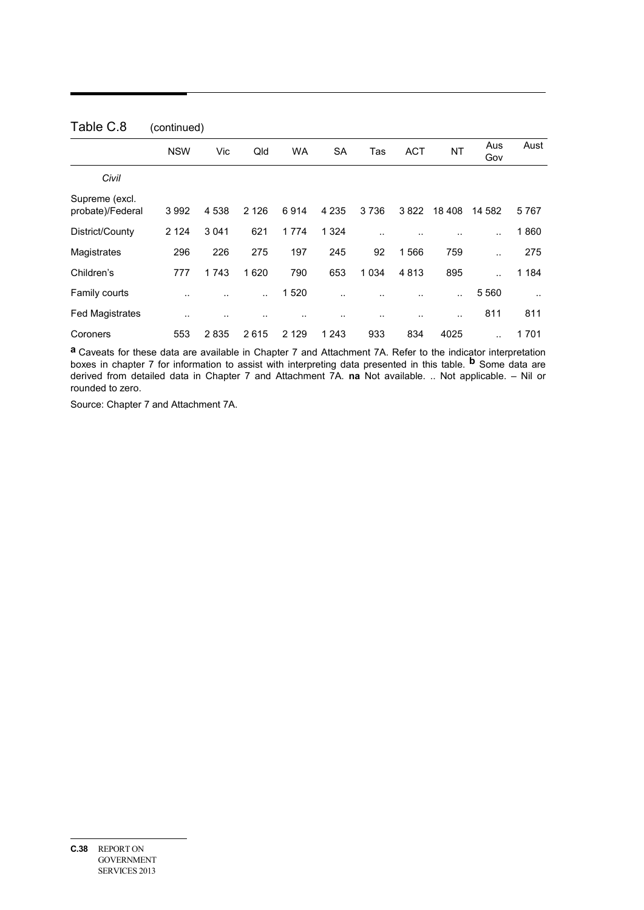### Table C.8 (continued)

|                                    | <b>NSW</b> | Vic     | Qld       | <b>WA</b> | SA      | Tas     | <b>ACT</b> | <b>NT</b>            | Aus<br>Gov           | Aust      |
|------------------------------------|------------|---------|-----------|-----------|---------|---------|------------|----------------------|----------------------|-----------|
| Civil                              |            |         |           |           |         |         |            |                      |                      |           |
| Supreme (excl.<br>probate)/Federal | 3992       | 4 5 3 8 | 2 1 2 6   | 6914      | 4 2 3 5 | 3736    | 3822       | 18 408               | 14 582               | 5767      |
| District/County                    | 2 1 2 4    | 3 0 4 1 | 621       | 1 7 7 4   | 1 3 2 4 |         |            |                      |                      | 860<br>1  |
| Magistrates                        | 296        | 226     | 275       | 197       | 245     | 92      | 1566       | 759                  | $\ddot{\phantom{a}}$ | 275       |
| Children's                         | 777        | 1743    | 1620      | 790       | 653     | 1 0 3 4 | 4813       | 895                  |                      | 1 1 8 4   |
| Family courts                      |            | . .     | $\cdot$ . | 1520      |         |         |            | $\ddot{\phantom{a}}$ | 5 5 6 0              | $\cdot$ . |
| <b>Fed Magistrates</b>             |            |         | . .       |           |         | . .     | . .        | . .                  | 811                  | 811       |
| Coroners                           | 553        | 2835    | 2615      | 2 1 2 9   | 1 2 4 3 | 933     | 834        | 4025                 |                      | 1 701     |

**a** Caveats for these data are available in Chapter 7 and Attachment 7A. Refer to the indicator interpretation boxes in chapter 7 for information to assist with interpreting data presented in this table. **b** Some data are derived from detailed data in Chapter 7 and Attachment 7A. **na** Not available. .. Not applicable. – Nil or rounded to zero.

Source: Chapter 7 and Attachment 7A.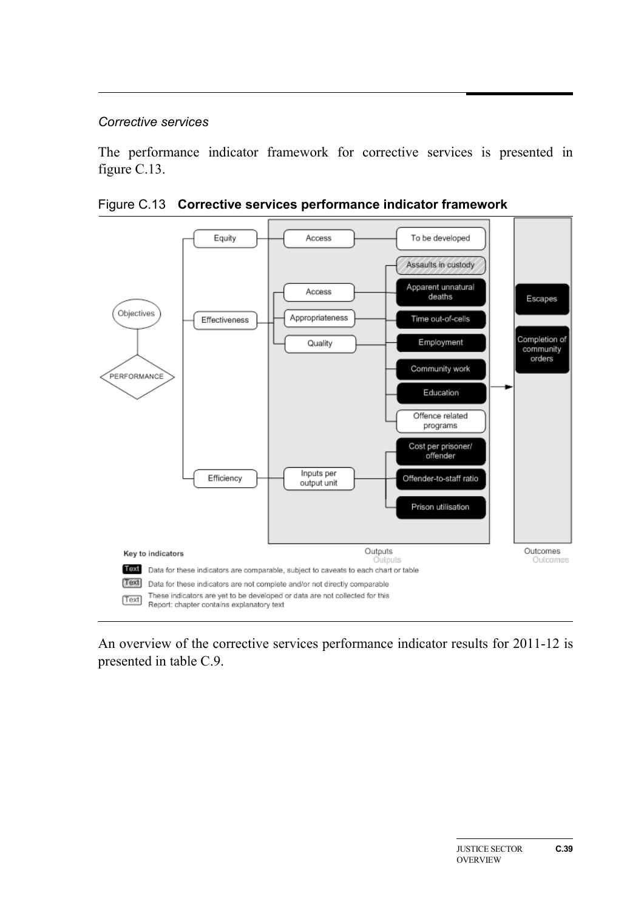#### *Corrective services*

The performance indicator framework for corrective services is presented in figure C.13.

Figure C.13 **Corrective services performance indicator framework**



An overview of the corrective services performance indicator results for 2011-12 is presented in table C.9.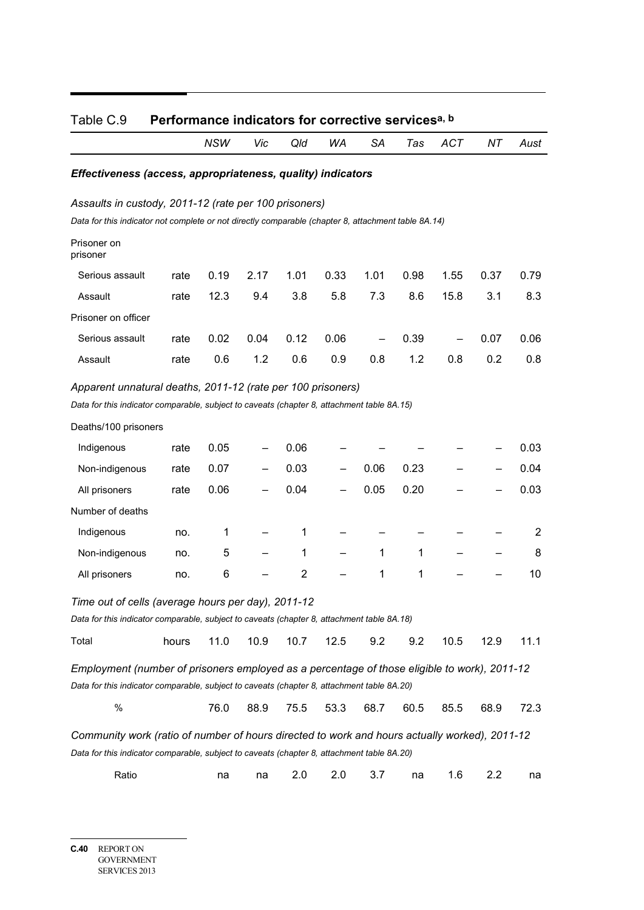| Table C.9                                                                                                                                                                                   | Performance indicators for corrective services <sup>a, b</sup> |            |      |      |      |           |      |            |      |      |
|---------------------------------------------------------------------------------------------------------------------------------------------------------------------------------------------|----------------------------------------------------------------|------------|------|------|------|-----------|------|------------|------|------|
|                                                                                                                                                                                             |                                                                | <b>NSW</b> | Vic  | Qld  | WA   | <b>SA</b> | Tas  | <b>ACT</b> | ΝT   | Aust |
| Effectiveness (access, appropriateness, quality) indicators                                                                                                                                 |                                                                |            |      |      |      |           |      |            |      |      |
| Assaults in custody, 2011-12 (rate per 100 prisoners)                                                                                                                                       |                                                                |            |      |      |      |           |      |            |      |      |
| Data for this indicator not complete or not directly comparable (chapter 8, attachment table 8A.14)                                                                                         |                                                                |            |      |      |      |           |      |            |      |      |
| Prisoner on<br>prisoner                                                                                                                                                                     |                                                                |            |      |      |      |           |      |            |      |      |
| Serious assault                                                                                                                                                                             | rate                                                           | 0.19       | 2.17 | 1.01 | 0.33 | 1.01      | 0.98 | 1.55       | 0.37 | 0.79 |
| Assault                                                                                                                                                                                     | rate                                                           | 12.3       | 9.4  | 3.8  | 5.8  | 7.3       | 8.6  | 15.8       | 3.1  | 8.3  |
| Prisoner on officer                                                                                                                                                                         |                                                                |            |      |      |      |           |      |            |      |      |
| Serious assault                                                                                                                                                                             | rate                                                           | 0.02       | 0.04 | 0.12 | 0.06 |           | 0.39 |            | 0.07 | 0.06 |
| Assault                                                                                                                                                                                     | rate                                                           | 0.6        | 1.2  | 0.6  | 0.9  | 0.8       | 1.2  | 0.8        | 0.2  | 0.8  |
| Apparent unnatural deaths, 2011-12 (rate per 100 prisoners)<br>Data for this indicator comparable, subject to caveats (chapter 8, attachment table 8A.15)                                   |                                                                |            |      |      |      |           |      |            |      |      |
| Deaths/100 prisoners                                                                                                                                                                        |                                                                |            |      |      |      |           |      |            |      |      |
| Indigenous                                                                                                                                                                                  | rate                                                           | 0.05       | —    | 0.06 |      |           |      |            |      | 0.03 |
| Non-indigenous                                                                                                                                                                              | rate                                                           | 0.07       |      | 0.03 |      | 0.06      | 0.23 |            |      | 0.04 |
| All prisoners                                                                                                                                                                               | rate                                                           | 0.06       |      | 0.04 |      | 0.05      | 0.20 |            |      | 0.03 |
| Number of deaths                                                                                                                                                                            |                                                                |            |      |      |      |           |      |            |      |      |
| Indigenous                                                                                                                                                                                  | no.                                                            | 1          |      | 1    |      |           |      |            |      | 2    |
| Non-indigenous                                                                                                                                                                              | no.                                                            | 5          |      | 1    |      | 1         | 1    |            |      | 8    |
| All prisoners                                                                                                                                                                               | no.                                                            | 6          |      | 2    |      | 1         | 1    |            |      | 10   |
| Time out of cells (average hours per day), 2011-12<br>Data for this indicator comparable, subject to caveats (chapter 8, attachment table 8A.18)                                            |                                                                |            |      |      |      |           |      |            |      |      |
| Total                                                                                                                                                                                       | hours                                                          | 11.0       | 10.9 | 10.7 | 12.5 | 9.2       | 9.2  | 10.5       | 12.9 | 11.1 |
| Employment (number of prisoners employed as a percentage of those eligible to work), 2011-12<br>Data for this indicator comparable, subject to caveats (chapter 8, attachment table 8A.20)  |                                                                |            |      |      |      |           |      |            |      |      |
| $\%$                                                                                                                                                                                        |                                                                | 76.0       | 88.9 | 75.5 | 53.3 | 68.7      | 60.5 | 85.5       | 68.9 | 72.3 |
| Community work (ratio of number of hours directed to work and hours actually worked), 2011-12<br>Data for this indicator comparable, subject to caveats (chapter 8, attachment table 8A.20) |                                                                |            |      |      |      |           |      |            |      |      |
| Ratio                                                                                                                                                                                       |                                                                | na         | na   | 2.0  | 2.0  | 3.7       | na   | 1.6        | 2.2  | na   |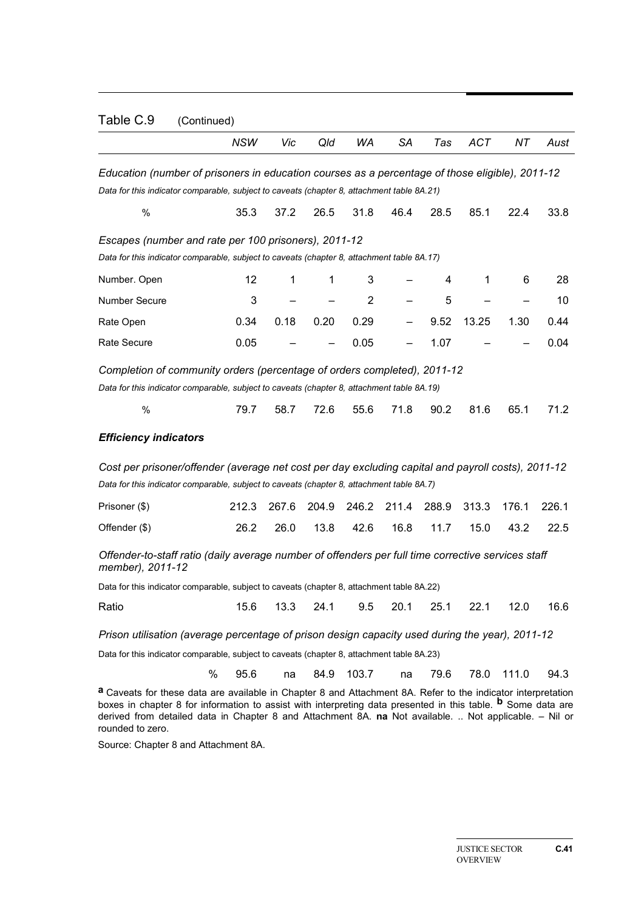| Table C.9                                                                                                                                          | (Continued) |            |       |       |       |           |       |            |       |       |
|----------------------------------------------------------------------------------------------------------------------------------------------------|-------------|------------|-------|-------|-------|-----------|-------|------------|-------|-------|
|                                                                                                                                                    |             | <b>NSW</b> | Vic   | Qld   | WA    | <b>SA</b> | Tas   | <b>ACT</b> | NΤ    | Aust  |
| Education (number of prisoners in education courses as a percentage of those eligible), 2011-12                                                    |             |            |       |       |       |           |       |            |       |       |
| Data for this indicator comparable, subject to caveats (chapter 8, attachment table 8A.21)                                                         |             |            |       |       |       |           |       |            |       |       |
| $\%$                                                                                                                                               |             | 35.3       | 37.2  | 26.5  | 31.8  | 46.4      | 28.5  | 85.1       | 22.4  | 33.8  |
| Escapes (number and rate per 100 prisoners), 2011-12<br>Data for this indicator comparable, subject to caveats (chapter 8, attachment table 8A.17) |             |            |       |       |       |           |       |            |       |       |
| Number. Open                                                                                                                                       |             | 12         | 1     | 1     | 3     |           | 4     | 1          | 6     | 28    |
| Number Secure                                                                                                                                      |             | 3          |       |       | 2     |           | 5     |            |       | 10    |
| Rate Open                                                                                                                                          |             | 0.34       | 0.18  | 0.20  | 0.29  |           | 9.52  | 13.25      | 1.30  | 0.44  |
| Rate Secure                                                                                                                                        |             | 0.05       |       |       | 0.05  |           | 1.07  |            |       | 0.04  |
| Completion of community orders (percentage of orders completed), 2011-12                                                                           |             |            |       |       |       |           |       |            |       |       |
| Data for this indicator comparable, subject to caveats (chapter 8, attachment table 8A.19)                                                         |             |            |       |       |       |           |       |            |       |       |
| $\%$                                                                                                                                               |             | 79.7       | 58.7  | 72.6  | 55.6  | 71.8      | 90.2  | 81.6       | 65.1  | 71.2  |
| <b>Efficiency indicators</b>                                                                                                                       |             |            |       |       |       |           |       |            |       |       |
| Cost per prisoner/offender (average net cost per day excluding capital and payroll costs), 2011-12                                                 |             |            |       |       |       |           |       |            |       |       |
| Data for this indicator comparable, subject to caveats (chapter 8, attachment table 8A.7)                                                          |             |            |       |       |       |           |       |            |       |       |
| Prisoner (\$)                                                                                                                                      |             | 212.3      | 267.6 | 204.9 | 246.2 | 211.4     | 288.9 | 313.3      | 176.1 | 226.1 |
| Offender (\$)                                                                                                                                      |             | 26.2       | 26.0  | 13.8  | 42.6  | 16.8      | 11.7  | 15.0       | 43.2  | 22.5  |
| Offender-to-staff ratio (daily average number of offenders per full time corrective services staff<br>member), 2011-12                             |             |            |       |       |       |           |       |            |       |       |
| Data for this indicator comparable, subject to caveats (chapter 8, attachment table 8A.22)                                                         |             |            |       |       |       |           |       |            |       |       |
| Ratio                                                                                                                                              |             | 15.6       | 13.3  | 24.1  | 9.5   | 20.1      | 25.1  | 22.1       | 12.0  | 16.6  |
| Prison utilisation (average percentage of prison design capacity used during the year), 2011-12                                                    |             |            |       |       |       |           |       |            |       |       |
| Data for this indicator comparable, subject to caveats (chapter 8, attachment table 8A.23)                                                         |             |            |       |       |       |           |       |            |       |       |
|                                                                                                                                                    | $\%$        | 95.6       | na    | 84.9  | 103.7 | na        | 79.6  | 78.0       | 111.0 | 94.3  |
| a Caveats for these data are available in Chapter 8 and Attachment 8A. Refer to the indicator interpretation                                       |             |            |       |       |       |           |       |            |       |       |

boxes in chapter 8 for information to assist with interpreting data presented in this table. **b** Some data are derived from detailed data in Chapter 8 and Attachment 8A. **na** Not available. .. Not applicable. – Nil or rounded to zero.

Source: Chapter 8 and Attachment 8A.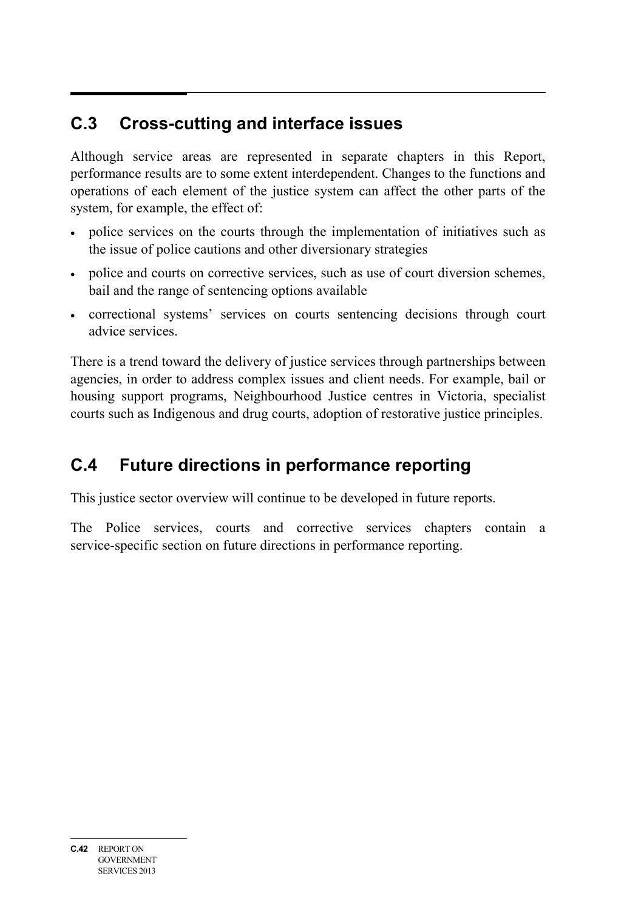# <span id="page-41-0"></span>**C.3 Cross-cutting and interface issues**

Although service areas are represented in separate chapters in this Report, performance results are to some extent interdependent. Changes to the functions and operations of each element of the justice system can affect the other parts of the system, for example, the effect of:

- police services on the courts through the implementation of initiatives such as the issue of police cautions and other diversionary strategies
- police and courts on corrective services, such as use of court diversion schemes, bail and the range of sentencing options available
- correctional systems' services on courts sentencing decisions through court advice services.

There is a trend toward the delivery of justice services through partnerships between agencies, in order to address complex issues and client needs. For example, bail or housing support programs, Neighbourhood Justice centres in Victoria, specialist courts such as Indigenous and drug courts, adoption of restorative justice principles.

# <span id="page-41-1"></span>**C.4 Future directions in performance reporting**

This justice sector overview will continue to be developed in future reports.

The Police services, courts and corrective services chapters contain a service-specific section on future directions in performance reporting.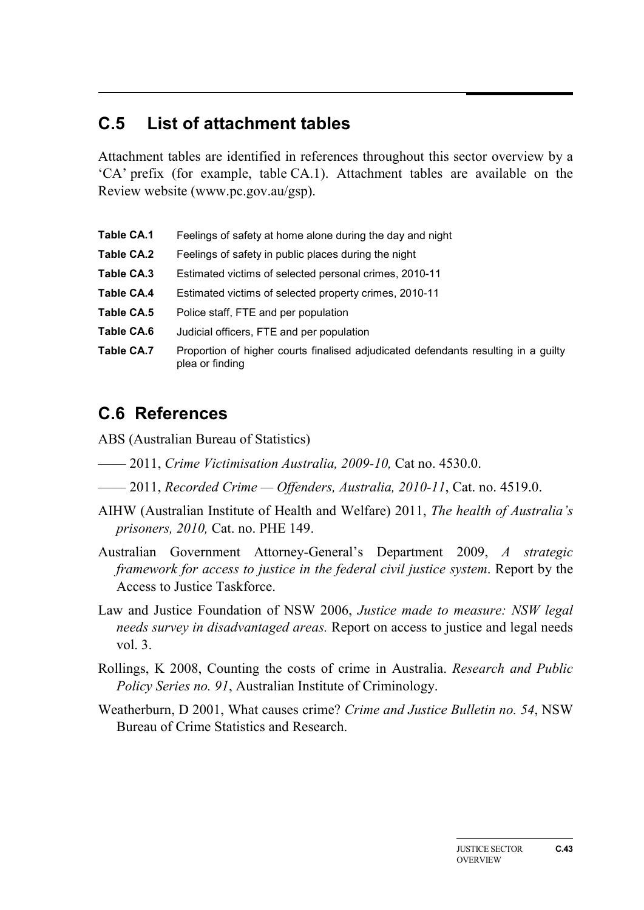# <span id="page-42-0"></span>**C.5 List of attachment tables**

Attachment tables are identified in references throughout this sector overview by a 'CA' prefix (for example, table CA.1). Attachment tables are available on the Review website (www.pc.gov.au/gsp).

- **Table CA.1** Feelings of safety at home alone during the day and night
- **Table CA.2** Feelings of safety in public places during the night
- **Table CA.3** Estimated victims of selected personal crimes, 2010-11
- **Table CA.4** Estimated victims of selected property crimes, 2010-11
- **Table CA.5** Police staff, FTE and per population
- **Table CA.6** Judicial officers, FTE and per population
- <span id="page-42-1"></span>Table CA.7 Proportion of higher courts finalised adjudicated defendants resulting in a guilty plea or finding

# **C.6 References**

ABS (Australian Bureau of Statistics)

- —— 2011, *Crime Victimisation Australia, 2009-10,* Cat no. 4530.0.
- —— 2011, *Recorded Crime — Offenders, Australia, 2010-11*, Cat. no. 4519.0.
- AIHW (Australian Institute of Health and Welfare) 2011, *The health of Australia's prisoners, 2010,* Cat. no. PHE 149.
- Australian Government Attorney-General's Department 2009, *A strategic framework for access to justice in the federal civil justice system*. Report by the Access to Justice Taskforce.
- Law and Justice Foundation of NSW 2006, *Justice made to measure: NSW legal needs survey in disadvantaged areas.* Report on access to justice and legal needs vol. 3.
- Rollings, K 2008, Counting the costs of crime in Australia. *Research and Public Policy Series no. 91*, Australian Institute of Criminology.
- Weatherburn, D 2001, What causes crime? *Crime and Justice Bulletin no. 54*, NSW Bureau of Crime Statistics and Research.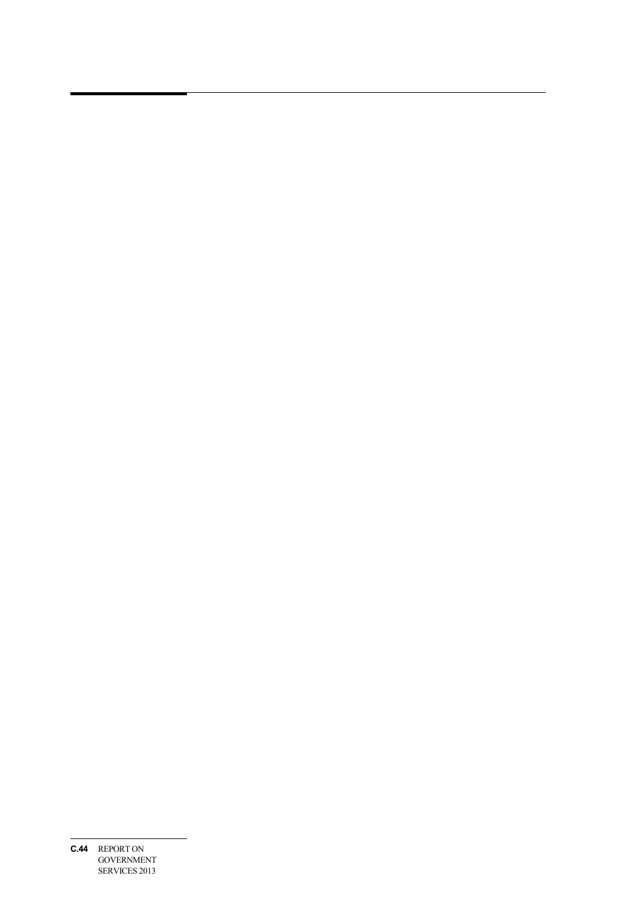#### **C.44** REPORT ON GOVERNMENT SERVICES 2013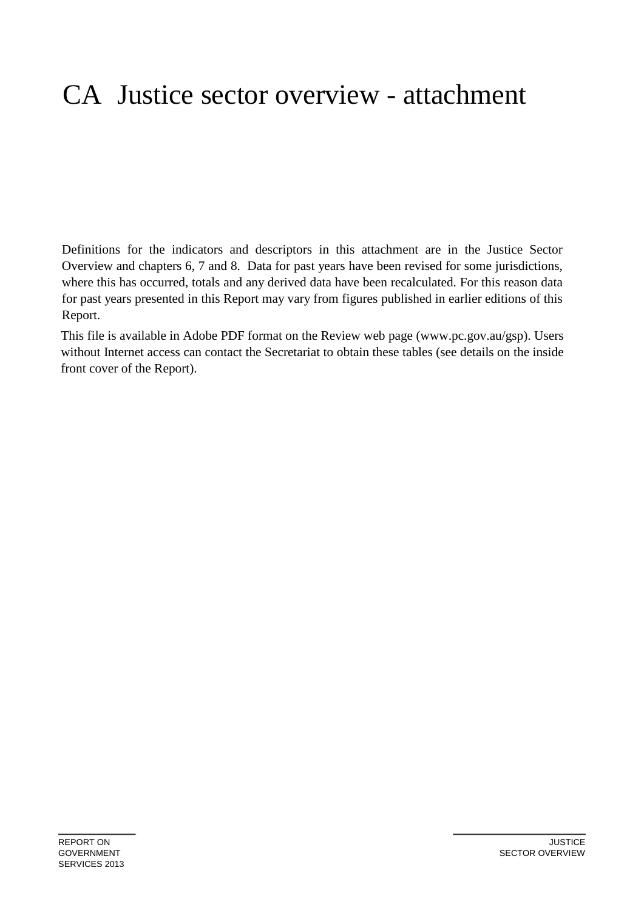# CA Justice sector overview - attachment

Definitions for the indicators and descriptors in this attachment are in the Justice Sector Overview and chapters 6, 7 and 8. Data for past years have been revised for some jurisdictions, where this has occurred, totals and any derived data have been recalculated. For this reason data for past years presented in this Report may vary from figures published in earlier editions of this Report.

This file is available in Adobe PDF format on the Review web page (www.pc.gov.au/gsp). Users without Internet access can contact the Secretariat to obtain these tables (see details on the inside front cover of the Report).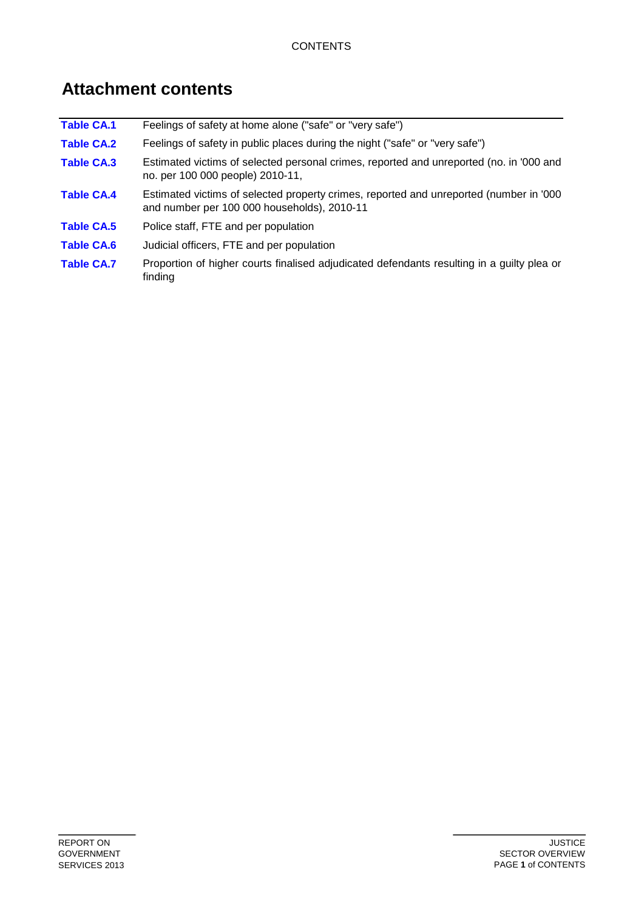# **Attachment contents**

| <b>Table CA.1</b> | Feelings of safety at home alone ("safe" or "very safe")                                                                              |
|-------------------|---------------------------------------------------------------------------------------------------------------------------------------|
| <b>Table CA.2</b> | Feelings of safety in public places during the night ("safe" or "very safe")                                                          |
| <b>Table CA.3</b> | Estimated victims of selected personal crimes, reported and unreported (no. in '000 and<br>no. per 100 000 people) 2010-11,           |
| <b>Table CA.4</b> | Estimated victims of selected property crimes, reported and unreported (number in '000<br>and number per 100 000 households), 2010-11 |
| <b>Table CA.5</b> | Police staff, FTE and per population                                                                                                  |
| <b>Table CA.6</b> | Judicial officers, FTE and per population                                                                                             |
| <b>Table CA.7</b> | Proportion of higher courts finalised adjudicated defendants resulting in a guilty plea or<br>finding                                 |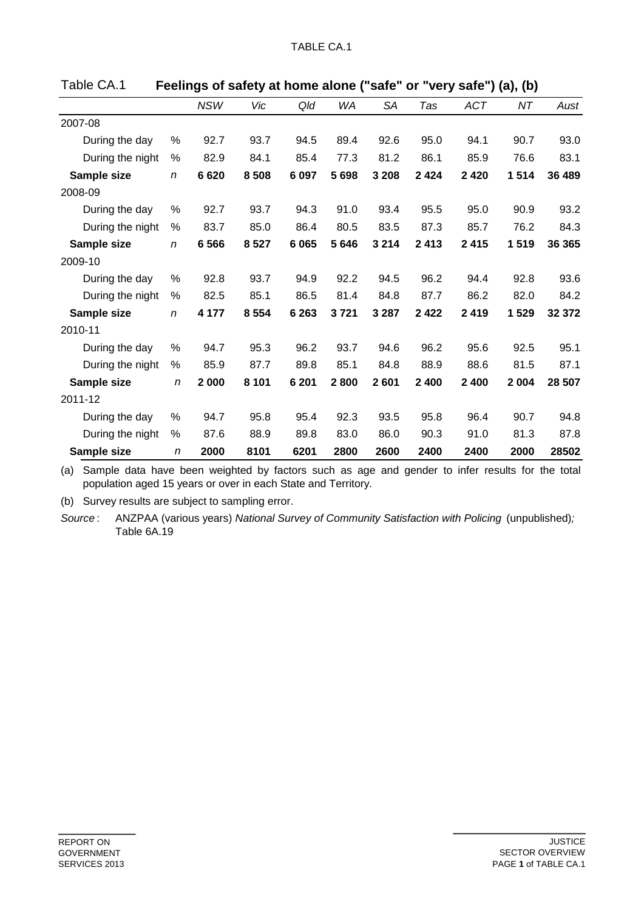|                  |              | <b>NSW</b> | Vic     | Qld     | WA   | SA      | Tas     | <b>ACT</b> | ΝT      | Aust   |
|------------------|--------------|------------|---------|---------|------|---------|---------|------------|---------|--------|
| 2007-08          |              |            |         |         |      |         |         |            |         |        |
| During the day   | %            | 92.7       | 93.7    | 94.5    | 89.4 | 92.6    | 95.0    | 94.1       | 90.7    | 93.0   |
| During the night | %            | 82.9       | 84.1    | 85.4    | 77.3 | 81.2    | 86.1    | 85.9       | 76.6    | 83.1   |
| Sample size      | $\mathsf{n}$ | 6620       | 8 5 0 8 | 6 0 9 7 | 5698 | 3 2 0 8 | 2424    | 2420       | 1514    | 36 489 |
| 2008-09          |              |            |         |         |      |         |         |            |         |        |
| During the day   | $\%$         | 92.7       | 93.7    | 94.3    | 91.0 | 93.4    | 95.5    | 95.0       | 90.9    | 93.2   |
| During the night | %            | 83.7       | 85.0    | 86.4    | 80.5 | 83.5    | 87.3    | 85.7       | 76.2    | 84.3   |
| Sample size      | n            | 6566       | 8527    | 6 0 65  | 5646 | 3 2 1 4 | 2413    | 2415       | 1519    | 36 365 |
| 2009-10          |              |            |         |         |      |         |         |            |         |        |
| During the day   | %            | 92.8       | 93.7    | 94.9    | 92.2 | 94.5    | 96.2    | 94.4       | 92.8    | 93.6   |
| During the night | %            | 82.5       | 85.1    | 86.5    | 81.4 | 84.8    | 87.7    | 86.2       | 82.0    | 84.2   |
| Sample size      | $\mathsf{n}$ | 4 1 7 7    | 8 5 5 4 | 6 2 6 3 | 3721 | 3 2 8 7 | 2422    | 2419       | 1 5 2 9 | 32 372 |
| 2010-11          |              |            |         |         |      |         |         |            |         |        |
| During the day   | %            | 94.7       | 95.3    | 96.2    | 93.7 | 94.6    | 96.2    | 95.6       | 92.5    | 95.1   |
| During the night | %            | 85.9       | 87.7    | 89.8    | 85.1 | 84.8    | 88.9    | 88.6       | 81.5    | 87.1   |
| Sample size      | n            | 2 0 0 0    | 8 1 0 1 | 6 201   | 2800 | 2601    | 2 4 0 0 | 2 4 0 0    | 2 0 0 4 | 28 507 |
| 2011-12          |              |            |         |         |      |         |         |            |         |        |
| During the day   | $\%$         | 94.7       | 95.8    | 95.4    | 92.3 | 93.5    | 95.8    | 96.4       | 90.7    | 94.8   |
| During the night | %            | 87.6       | 88.9    | 89.8    | 83.0 | 86.0    | 90.3    | 91.0       | 81.3    | 87.8   |
| Sample size      | n            | 2000       | 8101    | 6201    | 2800 | 2600    | 2400    | 2400       | 2000    | 28502  |

Table CA.1 **Feelings of safety at home alone ("safe" or "very safe") (a), (b)**

(a) Sample data have been weighted by factors such as age and gender to infer results for the total population aged 15 years or over in each State and Territory.

(b) Survey results are subject to sampling error.

*Source* : ANZPAA (various years) *National Survey of Community Satisfaction with Policing* (unpublished)*;*  Table 6A.19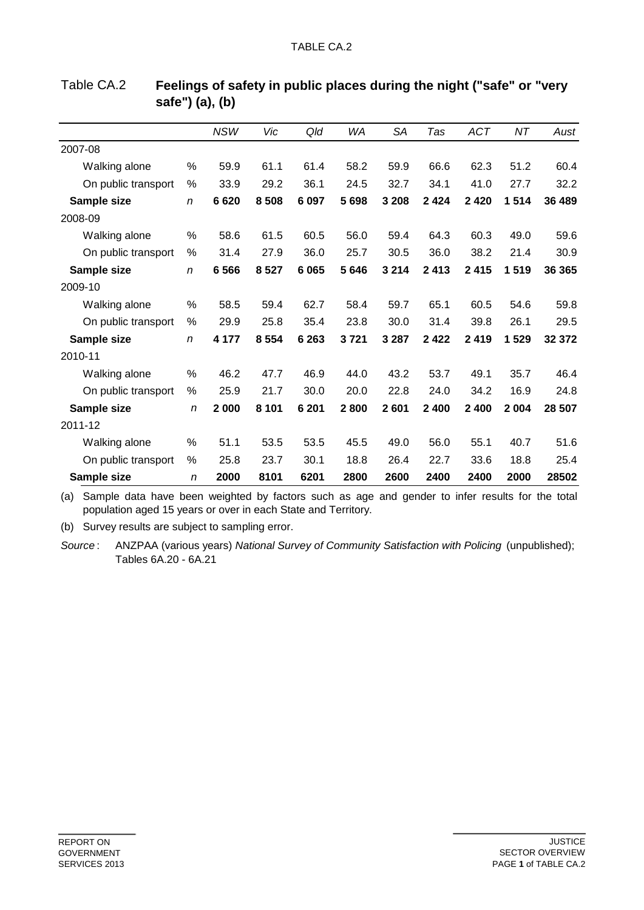|                     |              | <b>NSW</b> | Vic     | Qld     | WA   | SА      | Tas     | <b>ACT</b> | ΝT      | Aust   |
|---------------------|--------------|------------|---------|---------|------|---------|---------|------------|---------|--------|
| 2007-08             |              |            |         |         |      |         |         |            |         |        |
| Walking alone       | %            | 59.9       | 61.1    | 61.4    | 58.2 | 59.9    | 66.6    | 62.3       | 51.2    | 60.4   |
| On public transport | ℅            | 33.9       | 29.2    | 36.1    | 24.5 | 32.7    | 34.1    | 41.0       | 27.7    | 32.2   |
| Sample size         | n            | 6620       | 8508    | 6 0 9 7 | 5698 | 3 2 0 8 | 2 4 2 4 | 2 4 2 0    | 1514    | 36 489 |
| 2008-09             |              |            |         |         |      |         |         |            |         |        |
| Walking alone       | %            | 58.6       | 61.5    | 60.5    | 56.0 | 59.4    | 64.3    | 60.3       | 49.0    | 59.6   |
| On public transport | %            | 31.4       | 27.9    | 36.0    | 25.7 | 30.5    | 36.0    | 38.2       | 21.4    | 30.9   |
| Sample size         | $\mathsf{n}$ | 6566       | 8527    | 6 0 65  | 5646 | 3 2 1 4 | 2413    | 2415       | 1519    | 36 365 |
| 2009-10             |              |            |         |         |      |         |         |            |         |        |
| Walking alone       | %            | 58.5       | 59.4    | 62.7    | 58.4 | 59.7    | 65.1    | 60.5       | 54.6    | 59.8   |
| On public transport | %            | 29.9       | 25.8    | 35.4    | 23.8 | 30.0    | 31.4    | 39.8       | 26.1    | 29.5   |
| Sample size         | n            | 4 1 7 7    | 8 5 5 4 | 6 2 6 3 | 3721 | 3 2 8 7 | 2422    | 2419       | 1 5 2 9 | 32 372 |
| 2010-11             |              |            |         |         |      |         |         |            |         |        |
| Walking alone       | %            | 46.2       | 47.7    | 46.9    | 44.0 | 43.2    | 53.7    | 49.1       | 35.7    | 46.4   |
| On public transport | %            | 25.9       | 21.7    | 30.0    | 20.0 | 22.8    | 24.0    | 34.2       | 16.9    | 24.8   |
| Sample size         | n            | 2 000      | 8 1 0 1 | 6 201   | 2800 | 2601    | 2 4 0 0 | 2 4 0 0    | 2 0 0 4 | 28 507 |
| 2011-12             |              |            |         |         |      |         |         |            |         |        |
| Walking alone       | %            | 51.1       | 53.5    | 53.5    | 45.5 | 49.0    | 56.0    | 55.1       | 40.7    | 51.6   |
| On public transport | %            | 25.8       | 23.7    | 30.1    | 18.8 | 26.4    | 22.7    | 33.6       | 18.8    | 25.4   |
| Sample size         | n            | 2000       | 8101    | 6201    | 2800 | 2600    | 2400    | 2400       | 2000    | 28502  |

| Table CA.2 | Feelings of safety in public places during the night ("safe" or "very |
|------------|-----------------------------------------------------------------------|
|            | safe") (a), (b)                                                       |

(a) Sample data have been weighted by factors such as age and gender to infer results for the total population aged 15 years or over in each State and Territory.

(b) Survey results are subject to sampling error.

*Source* : ANZPAA (various years) *National Survey of Community Satisfaction with Policing* (unpublished); Tables 6A.20 - 6A.21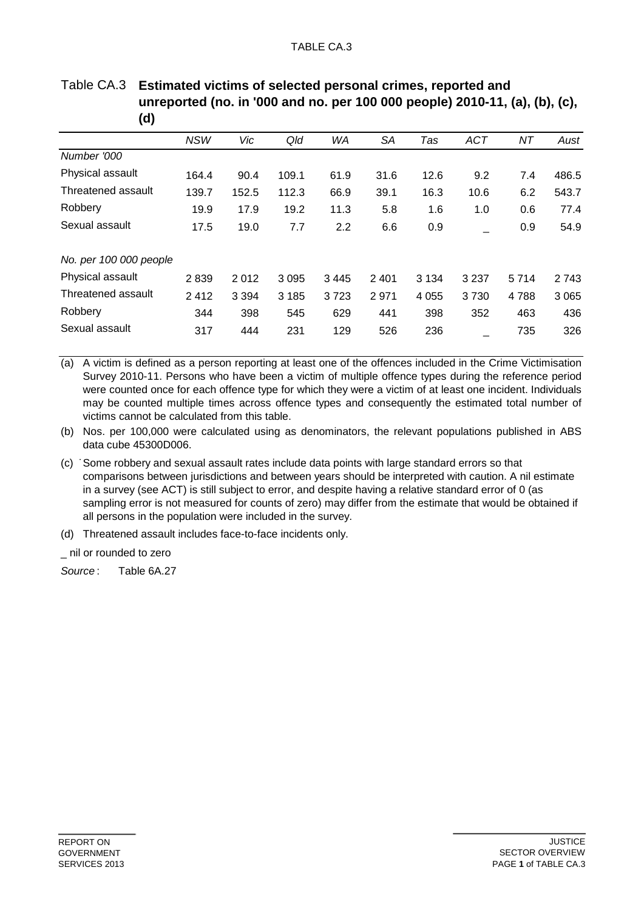|                        | <b>NSW</b> | Vic     | Qld     | WA      | SА      | Tas     | <b>ACT</b> | ΝT   | Aust    |
|------------------------|------------|---------|---------|---------|---------|---------|------------|------|---------|
| Number '000            |            |         |         |         |         |         |            |      |         |
| Physical assault       | 164.4      | 90.4    | 109.1   | 61.9    | 31.6    | 12.6    | 9.2        | 7.4  | 486.5   |
| Threatened assault     | 139.7      | 152.5   | 112.3   | 66.9    | 39.1    | 16.3    | 10.6       | 6.2  | 543.7   |
| Robbery                | 19.9       | 17.9    | 19.2    | 11.3    | 5.8     | 1.6     | 1.0        | 0.6  | 77.4    |
| Sexual assault         | 17.5       | 19.0    | 7.7     | 2.2     | 6.6     | 0.9     |            | 0.9  | 54.9    |
| No. per 100 000 people |            |         |         |         |         |         |            |      |         |
| Physical assault       | 2839       | 2012    | 3 0 9 5 | 3 4 4 5 | 2 4 0 1 | 3 1 3 4 | 3 2 3 7    | 5714 | 2 7 4 3 |
| Threatened assault     | 2412       | 3 3 9 4 | 3 1 8 5 | 3723    | 2971    | 4 0 5 5 | 3730       | 4788 | 3 0 6 5 |
| Robbery                | 344        | 398     | 545     | 629     | 441     | 398     | 352        | 463  | 436     |
| Sexual assault         | 317        | 444     | 231     | 129     | 526     | 236     |            | 735  | 326     |

Table CA.3 **Estimated victims of selected personal crimes, reported and unreported (no. in '000 and no. per 100 000 people) 2010-11, (a), (b), (c), (d)**

(a) A victim is defined as a person reporting at least one of the offences included in the Crime Victimisation Survey 2010-11. Persons who have been a victim of multiple offence types during the reference period were counted once for each offence type for which they were a victim of at least one incident. Individuals may be counted multiple times across offence types and consequently the estimated total number of victims cannot be calculated from this table.

(b) Nos. per 100,000 were calculated using as denominators, the relevant populations published in ABS data cube 45300D006.

(c) Some robbery and sexual assault rates include data points with large standard errors so that comparisons between jurisdictions and between years should be interpreted with caution. A nil estimate in a survey (see ACT) is still subject to error, and despite having a relative standard error of 0 (as sampling error is not measured for counts of zero) may differ from the estimate that would be obtained if all persons in the population were included in the survey.

(d) Threatened assault includes face-to-face incidents only.

\_ nil or rounded to zero

*Source* : Table 6A.27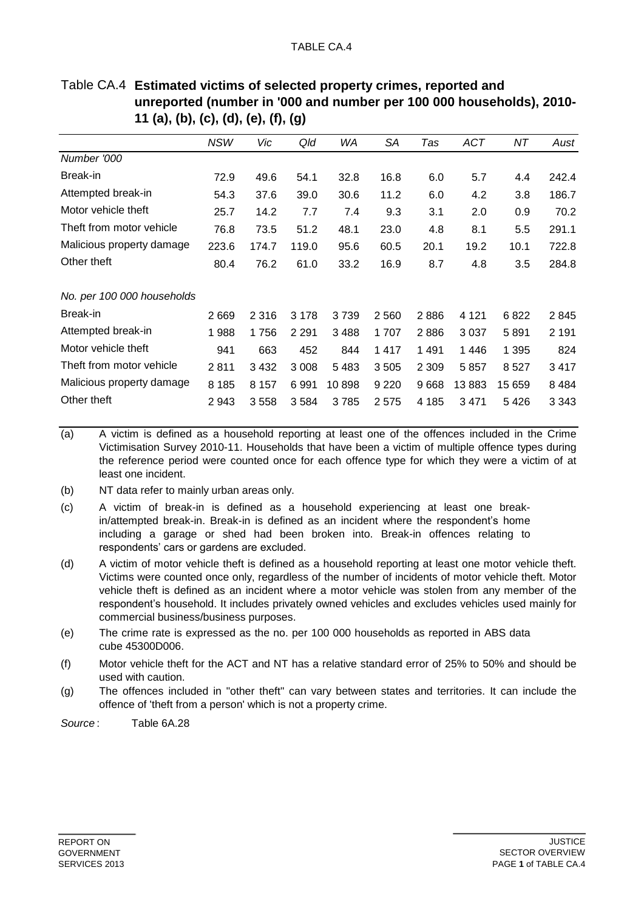|                            | <b>NSW</b> | Vic     | Qld     | WA    | SА      | Tas     | <b>ACT</b> | ΝT      | Aust    |
|----------------------------|------------|---------|---------|-------|---------|---------|------------|---------|---------|
| Number '000                |            |         |         |       |         |         |            |         |         |
| Break-in                   | 72.9       | 49.6    | 54.1    | 32.8  | 16.8    | 6.0     | 5.7        | 4.4     | 242.4   |
| Attempted break-in         | 54.3       | 37.6    | 39.0    | 30.6  | 11.2    | 6.0     | 4.2        | 3.8     | 186.7   |
| Motor vehicle theft        | 25.7       | 14.2    | 7.7     | 7.4   | 9.3     | 3.1     | 2.0        | 0.9     | 70.2    |
| Theft from motor vehicle   | 76.8       | 73.5    | 51.2    | 48.1  | 23.0    | 4.8     | 8.1        | 5.5     | 291.1   |
| Malicious property damage  | 223.6      | 174.7   | 119.0   | 95.6  | 60.5    | 20.1    | 19.2       | 10.1    | 722.8   |
| Other theft                | 80.4       | 76.2    | 61.0    | 33.2  | 16.9    | 8.7     | 4.8        | 3.5     | 284.8   |
| No. per 100 000 households |            |         |         |       |         |         |            |         |         |
| Break-in                   | 2669       | 2 3 1 6 | 3 1 7 8 | 3739  | 2 5 6 0 | 2886    | 4 1 2 1    | 6822    | 2845    |
| Attempted break-in         | 1988       | 1756    | 2 2 9 1 | 3488  | 1707    | 2886    | 3 0 3 7    | 5891    | 2 1 9 1 |
| Motor vehicle theft        | 941        | 663     | 452     | 844   | 1417    | 1 4 9 1 | 1446       | 1 3 9 5 | 824     |
| Theft from motor vehicle   | 2811       | 3 4 3 2 | 3 0 0 8 | 5483  | 3 5 0 5 | 2 3 0 9 | 5857       | 8 5 2 7 | 3 4 1 7 |
| Malicious property damage  | 8 1 8 5    | 8 1 5 7 | 6991    | 10898 | 9 2 2 0 | 9668    | 13883      | 15 659  | 8 4 8 4 |
| Other theft                | 2943       | 3558    | 3584    | 3785  | 2575    | 4 185   | 3 4 7 1    | 5 4 2 6 | 3 3 4 3 |

# Table CA.4 **Estimated victims of selected property crimes, reported and unreported (number in '000 and number per 100 000 households), 2010- 11 (a), (b), (c), (d), (e), (f), (g)**

(a) A victim is defined as a household reporting at least one of the offences included in the Crime Victimisation Survey 2010-11. Households that have been a victim of multiple offence types during the reference period were counted once for each offence type for which they were a victim of at least one incident.

- (b) NT data refer to mainly urban areas only.
- $(c)$ A victim of break-in is defined as a household experiencing at least one breakin/attempted break-in. Break-in is defined as an incident where the respondent's home including a garage or shed had been broken into. Break-in offences relating to respondents' cars or gardens are excluded.
- (d) A victim of motor vehicle theft is defined as a household reporting at least one motor vehicle theft. Victims were counted once only, regardless of the number of incidents of motor vehicle theft. Motor vehicle theft is defined as an incident where a motor vehicle was stolen from any member of the respondent's household. It includes privately owned vehicles and excludes vehicles used mainly for commercial business/business purposes.
- (e) The crime rate is expressed as the no. per 100 000 households as reported in ABS data cube 45300D006.
- (f) Motor vehicle theft for the ACT and NT has a relative standard error of 25% to 50% and should be used with caution.
- (g) The offences included in "other theft" can vary between states and territories. It can include the offence of 'theft from a person' which is not a property crime.

*Source* : Table 6A.28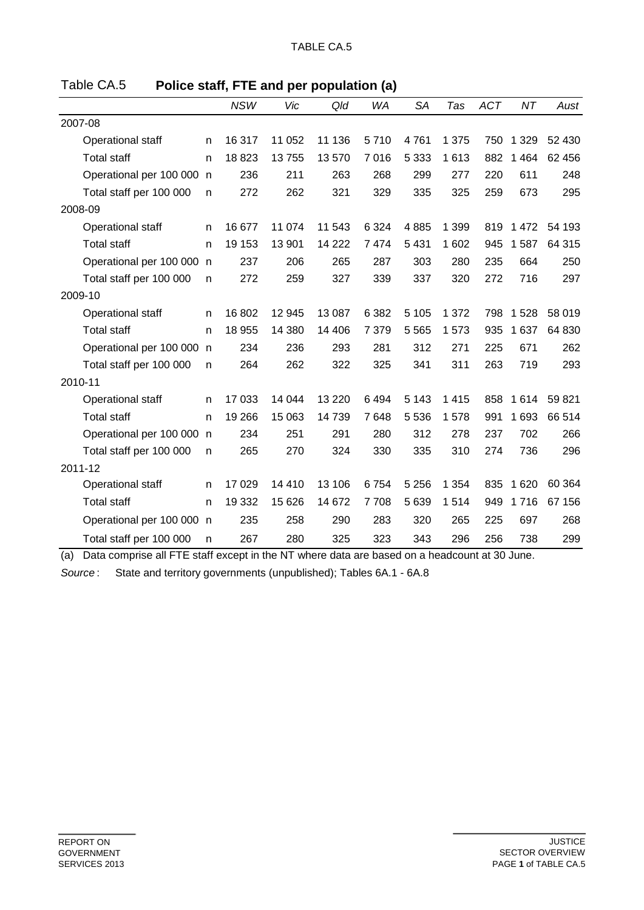| Table CA.5 | Police staff, FTE and per population (a) |
|------------|------------------------------------------|
|------------|------------------------------------------|

|                         |              | <b>NSW</b> | Vic     | Qld     | <b>WA</b> | <b>SA</b> | Tas     | <b>ACT</b> | NT       | Aust   |
|-------------------------|--------------|------------|---------|---------|-----------|-----------|---------|------------|----------|--------|
| 2007-08                 |              |            |         |         |           |           |         |            |          |        |
| Operational staff       | n            | 16 317     | 11 052  | 11 136  | 5710      | 4761      | 1 375   | 750        | 1 3 2 9  | 52 430 |
| <b>Total staff</b>      | $\mathsf{n}$ | 18823      | 13755   | 13570   | 7016      | 5 3 3 3   | 1613    | 882        | 1 4 6 4  | 62 456 |
| Operational per 100 000 | $\mathsf{n}$ | 236        | 211     | 263     | 268       | 299       | 277     | 220        | 611      | 248    |
| Total staff per 100 000 | n            | 272        | 262     | 321     | 329       | 335       | 325     | 259        | 673      | 295    |
| 2008-09                 |              |            |         |         |           |           |         |            |          |        |
| Operational staff       | n            | 16 677     | 11 074  | 11 543  | 6 3 2 4   | 4885      | 1 3 9 9 | 819        | 1 4 7 2  | 54 193 |
| <b>Total staff</b>      | $\mathsf{n}$ | 19 153     | 13 901  | 14 2 22 | 7474      | 5 4 31    | 1 602   | 945        | 587<br>1 | 64 315 |
| Operational per 100 000 | $\mathsf{n}$ | 237        | 206     | 265     | 287       | 303       | 280     | 235        | 664      | 250    |
| Total staff per 100 000 | $\mathsf{n}$ | 272        | 259     | 327     | 339       | 337       | 320     | 272        | 716      | 297    |
| 2009-10                 |              |            |         |         |           |           |         |            |          |        |
| Operational staff       | n            | 16 802     | 12 945  | 13 087  | 6 3 8 2   | 5 1 0 5   | 1 372   | 798        | 1528     | 58 019 |
| <b>Total staff</b>      | n            | 18 955     | 14 380  | 14 40 6 | 7 3 7 9   | 5 5 6 5   | 1573    | 935        | 1 637    | 64 830 |
| Operational per 100 000 | $\mathsf{n}$ | 234        | 236     | 293     | 281       | 312       | 271     | 225        | 671      | 262    |
| Total staff per 100 000 | $\mathsf{n}$ | 264        | 262     | 322     | 325       | 341       | 311     | 263        | 719      | 293    |
| 2010-11                 |              |            |         |         |           |           |         |            |          |        |
| Operational staff       | n            | 17 033     | 14 044  | 13 2 20 | 6494      | 5 1 4 3   | 1415    | 858        | 1614     | 59 821 |
| <b>Total staff</b>      | $\mathsf{n}$ | 19 26 6    | 15 063  | 14739   | 7648      | 5 5 3 6   | 1578    | 991        | 1 6 9 3  | 66 514 |
| Operational per 100 000 | $\mathsf{n}$ | 234        | 251     | 291     | 280       | 312       | 278     | 237        | 702      | 266    |
| Total staff per 100 000 | n            | 265        | 270     | 324     | 330       | 335       | 310     | 274        | 736      | 296    |
| 2011-12                 |              |            |         |         |           |           |         |            |          |        |
| Operational staff       | $\mathsf{n}$ | 17 029     | 14 4 10 | 13 106  | 6754      | 5 2 5 6   | 1 3 5 4 | 835        | 1620     | 60 364 |
| <b>Total staff</b>      | $\mathsf{n}$ | 19 332     | 15 6 26 | 14 672  | 7708      | 5 6 3 9   | 1514    | 949        | 1716     | 67 156 |
| Operational per 100 000 | $\mathsf{n}$ | 235        | 258     | 290     | 283       | 320       | 265     | 225        | 697      | 268    |
| Total staff per 100 000 | n            | 267        | 280     | 325     | 323       | 343       | 296     | 256        | 738      | 299    |

(a) Data comprise all FTE staff except in the NT where data are based on a headcount at 30 June.

*Source* : State and territory governments (unpublished); Tables 6A.1 - 6A.8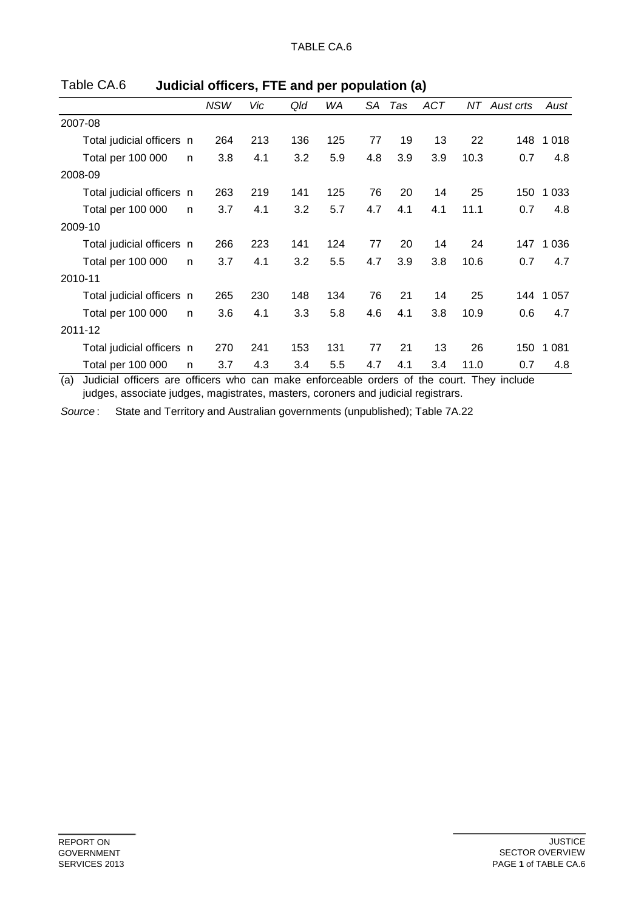|                           |   | <b>NSW</b> | Vic | Qld | WA  | SA  | Tas | <b>ACT</b> | NT.  | Aust crts | Aust    |
|---------------------------|---|------------|-----|-----|-----|-----|-----|------------|------|-----------|---------|
| 2007-08                   |   |            |     |     |     |     |     |            |      |           |         |
| Total judicial officers n |   | 264        | 213 | 136 | 125 | 77  | 19  | 13         | 22   | 148       | 1 0 1 8 |
| Total per 100 000         | n | 3.8        | 4.1 | 3.2 | 5.9 | 4.8 | 3.9 | 3.9        | 10.3 | 0.7       | 4.8     |
| 2008-09                   |   |            |     |     |     |     |     |            |      |           |         |
| Total judicial officers n |   | 263        | 219 | 141 | 125 | 76  | 20  | 14         | 25   | 150       | 1 0 3 3 |
| Total per 100 000         | n | 3.7        | 4.1 | 3.2 | 5.7 | 4.7 | 4.1 | 4.1        | 11.1 | 0.7       | 4.8     |
| 2009-10                   |   |            |     |     |     |     |     |            |      |           |         |
| Total judicial officers n |   | 266        | 223 | 141 | 124 | 77  | 20  | 14         | 24   | 147       | 1 0 3 6 |
| Total per 100 000         | n | 3.7        | 4.1 | 3.2 | 5.5 | 4.7 | 3.9 | 3.8        | 10.6 | 0.7       | 4.7     |
| 2010-11                   |   |            |     |     |     |     |     |            |      |           |         |
| Total judicial officers n |   | 265        | 230 | 148 | 134 | 76  | 21  | 14         | 25   | 144       | 1 0 5 7 |
| Total per 100 000         | n | 3.6        | 4.1 | 3.3 | 5.8 | 4.6 | 4.1 | 3.8        | 10.9 | 0.6       | 4.7     |
| 2011-12                   |   |            |     |     |     |     |     |            |      |           |         |
| Total judicial officers n |   | 270        | 241 | 153 | 131 | 77  | 21  | 13         | 26   | 150       | 1 0 8 1 |
| Total per 100 000         | n | 3.7        | 4.3 | 3.4 | 5.5 | 4.7 | 4.1 | 3.4        | 11.0 | 0.7       | 4.8     |

Table CA.6 **Judicial officers, FTE and per population (a)**

(a) Judicial officers are officers who can make enforceable orders of the court. They include judges, associate judges, magistrates, masters, coroners and judicial registrars.

*Source* : State and Territory and Australian governments (unpublished); Table 7A.22